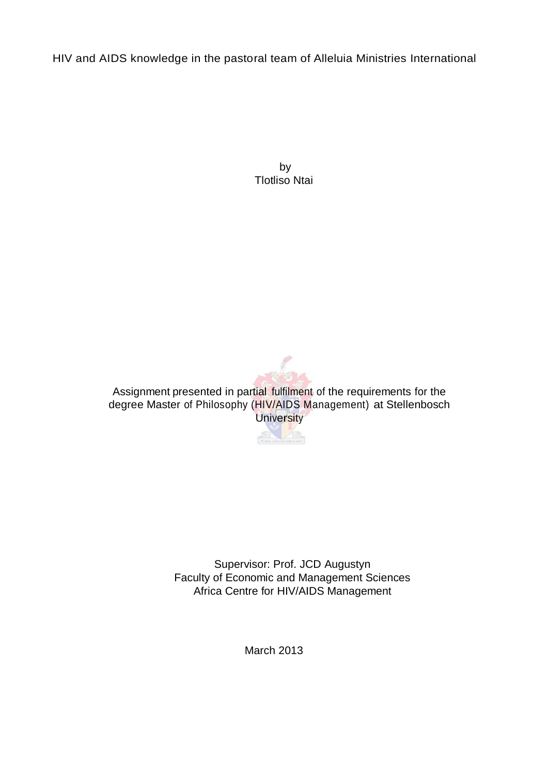HIV and AIDS knowledge in the pastoral team of Alleluia Ministries International

by Tlotliso Ntai



Assignment presented in partial fulfilment of the requirements for the degree Master of Philosophy (HIV/AIDS Management) at Stellenbosch **University** 



Supervisor: Prof. JCD Augustyn Faculty of Economic and Management Sciences Africa Centre for HIV/AIDS Management

March 2013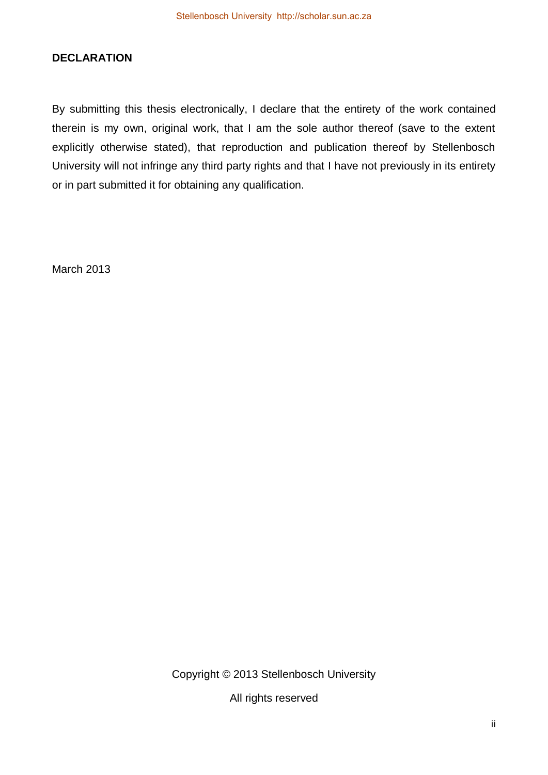# **DECLARATION**

By submitting this thesis electronically, I declare that the entirety of the work contained therein is my own, original work, that I am the sole author thereof (save to the extent explicitly otherwise stated), that reproduction and publication thereof by Stellenbosch University will not infringe any third party rights and that I have not previously in its entirety or in part submitted it for obtaining any qualification.

March 2013

Copyright © 2013 Stellenbosch University

All rights reserved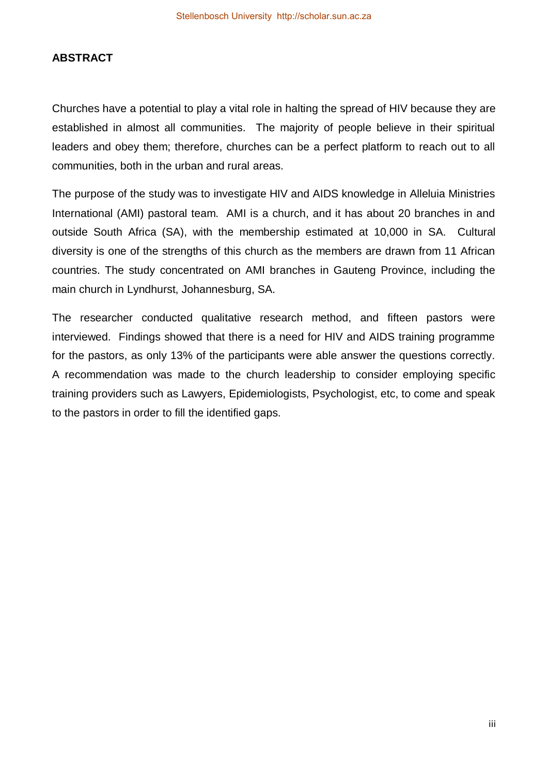# **ABSTRACT**

Churches have a potential to play a vital role in halting the spread of HIV because they are established in almost all communities. The majority of people believe in their spiritual leaders and obey them; therefore, churches can be a perfect platform to reach out to all communities, both in the urban and rural areas.

The purpose of the study was to investigate HIV and AIDS knowledge in Alleluia Ministries International (AMI) pastoral team. AMI is a church, and it has about 20 branches in and outside South Africa (SA), with the membership estimated at 10,000 in SA. Cultural diversity is one of the strengths of this church as the members are drawn from 11 African countries. The study concentrated on AMI branches in Gauteng Province, including the main church in Lyndhurst, Johannesburg, SA.

The researcher conducted qualitative research method, and fifteen pastors were interviewed. Findings showed that there is a need for HIV and AIDS training programme for the pastors, as only 13% of the participants were able answer the questions correctly. A recommendation was made to the church leadership to consider employing specific training providers such as Lawyers, Epidemiologists, Psychologist, etc, to come and speak to the pastors in order to fill the identified gaps.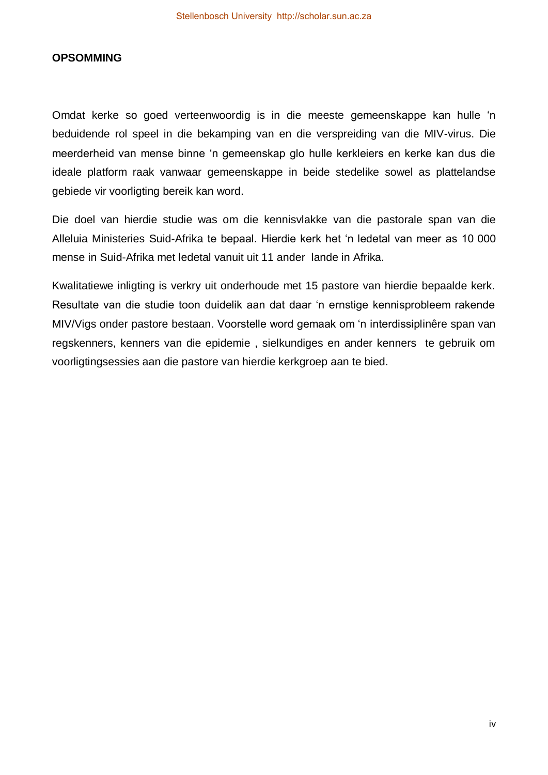#### **OPSOMMING**

Omdat kerke so goed verteenwoordig is in die meeste gemeenskappe kan hulle 'n beduidende rol speel in die bekamping van en die verspreiding van die MIV-virus. Die meerderheid van mense binne 'n gemeenskap glo hulle kerkleiers en kerke kan dus die ideale platform raak vanwaar gemeenskappe in beide stedelike sowel as plattelandse gebiede vir voorligting bereik kan word.

Die doel van hierdie studie was om die kennisvlakke van die pastorale span van die Alleluia Ministeries Suid-Afrika te bepaal. Hierdie kerk het 'n ledetal van meer as 10 000 mense in Suid-Afrika met ledetal vanuit uit 11 ander lande in Afrika.

Kwalitatiewe inligting is verkry uit onderhoude met 15 pastore van hierdie bepaalde kerk. Resultate van die studie toon duidelik aan dat daar 'n ernstige kennisprobleem rakende MIV/Vigs onder pastore bestaan. Voorstelle word gemaak om 'n interdissiplinêre span van regskenners, kenners van die epidemie , sielkundiges en ander kenners te gebruik om voorligtingsessies aan die pastore van hierdie kerkgroep aan te bied.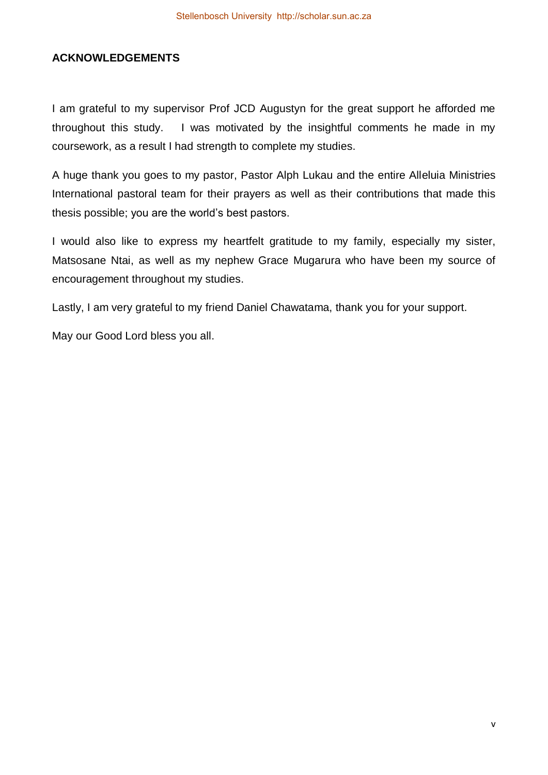# **ACKNOWLEDGEMENTS**

I am grateful to my supervisor Prof JCD Augustyn for the great support he afforded me throughout this study. I was motivated by the insightful comments he made in my coursework, as a result I had strength to complete my studies.

A huge thank you goes to my pastor, Pastor Alph Lukau and the entire Alleluia Ministries International pastoral team for their prayers as well as their contributions that made this thesis possible; you are the world's best pastors.

I would also like to express my heartfelt gratitude to my family, especially my sister, Matsosane Ntai, as well as my nephew Grace Mugarura who have been my source of encouragement throughout my studies.

Lastly, I am very grateful to my friend Daniel Chawatama, thank you for your support.

May our Good Lord bless you all.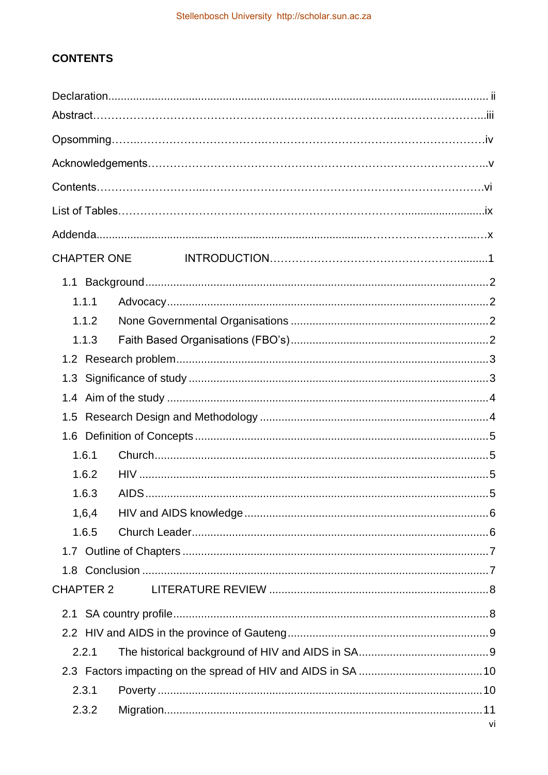# **CONTENTS**

| <b>CHAPTER ONE</b> |    |
|--------------------|----|
|                    |    |
| 1.1.1              |    |
| 1.1.2              |    |
| 1.1.3              |    |
|                    |    |
| 1.3                |    |
|                    |    |
| 1.5                |    |
|                    |    |
| 1.6.1              |    |
| 1.6.2              |    |
| 1.6.3              |    |
| 1,6,4              |    |
| 1.6.5              |    |
|                    |    |
|                    |    |
| <b>CHAPTER 2</b>   |    |
|                    |    |
|                    |    |
| 2.2.1              |    |
|                    |    |
| 2.3.1              |    |
| 2.3.2              |    |
|                    | vi |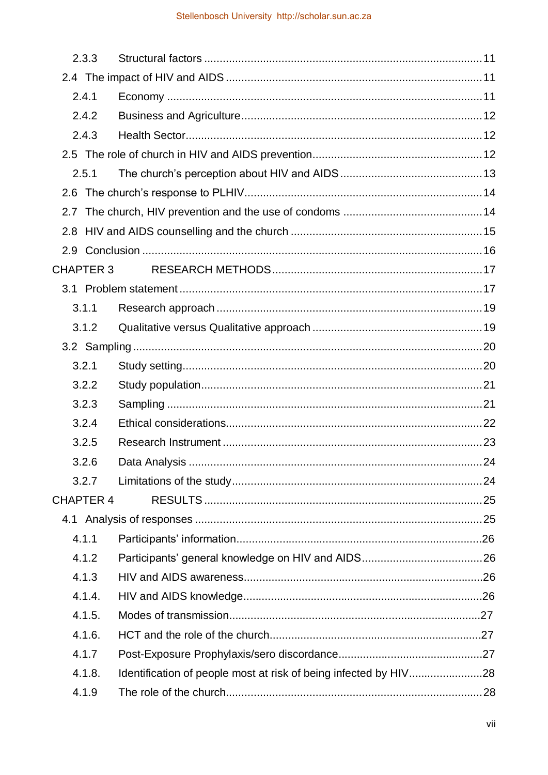|     | 2.3.3            |  |
|-----|------------------|--|
|     |                  |  |
|     | 2.4.1            |  |
|     | 2.4.2            |  |
|     | 2.4.3            |  |
|     |                  |  |
|     | 2.5.1            |  |
|     |                  |  |
| 2.7 |                  |  |
| 2.8 |                  |  |
|     |                  |  |
|     | <b>CHAPTER 3</b> |  |
|     |                  |  |
|     | 3.1.1            |  |
|     | 3.1.2            |  |
|     |                  |  |
|     | 3.2.1            |  |
|     | 3.2.2            |  |
|     | 3.2.3            |  |
|     | 3.2.4            |  |
|     | 3.2.5            |  |
|     | 3.2.6            |  |
|     | 3.2.7            |  |
|     | <b>CHAPTER 4</b> |  |
|     |                  |  |
|     | 4.1.1            |  |
|     | 4.1.2            |  |
|     | 4.1.3            |  |
|     | 4.1.4.           |  |
|     | 4.1.5.           |  |
|     | 4.1.6.           |  |
|     | 4.1.7            |  |
|     | 4.1.8.           |  |
|     | 4.1.9            |  |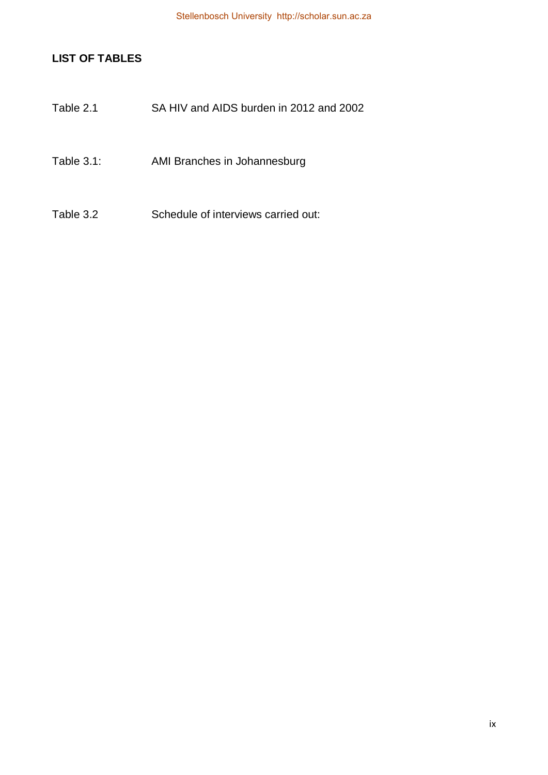# **LIST OF TABLES**

- Table 2.1 SA HIV and AIDS burden in 2012 and 2002
- Table 3.1: AMI Branches in Johannesburg
- Table 3.2 Schedule of interviews carried out: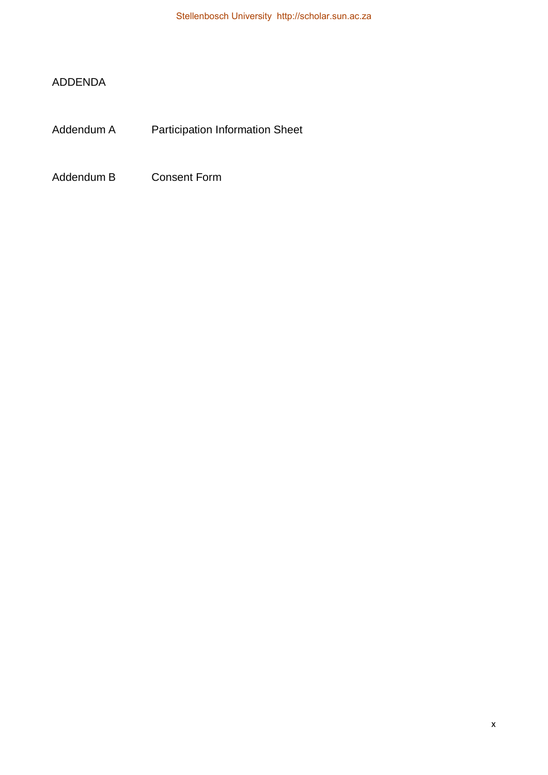# ADDENDA

Addendum A Participation Information Sheet

Addendum B Consent Form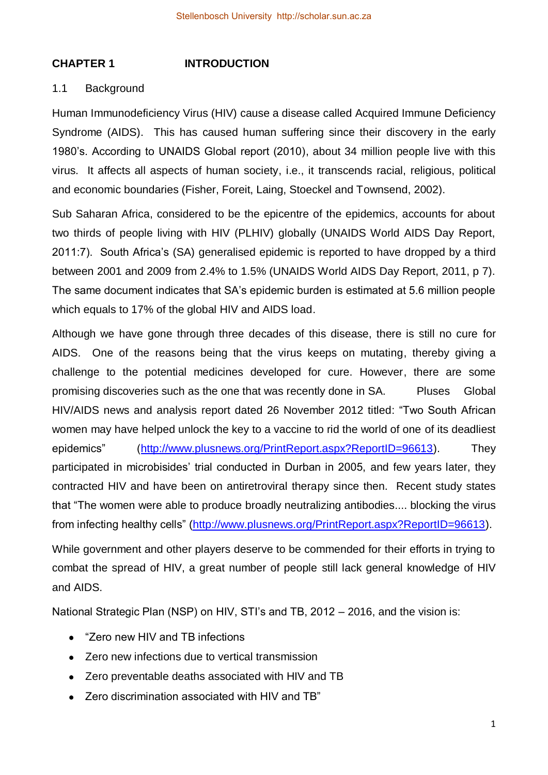# **CHAPTER 1 INTRODUCTION**

# 1.1 Background

Human Immunodeficiency Virus (HIV) cause a disease called Acquired Immune Deficiency Syndrome (AIDS). This has caused human suffering since their discovery in the early 1980's. According to UNAIDS Global report (2010), about 34 million people live with this virus. It affects all aspects of human society, i.e., it transcends racial, religious, political and economic boundaries (Fisher, Foreit, Laing, Stoeckel and Townsend, 2002).

Sub Saharan Africa, considered to be the epicentre of the epidemics, accounts for about two thirds of people living with HIV (PLHIV) globally (UNAIDS World AIDS Day Report, 2011:7). South Africa's (SA) generalised epidemic is reported to have dropped by a third between 2001 and 2009 from 2.4% to 1.5% (UNAIDS World AIDS Day Report, 2011, p 7). The same document indicates that SA's epidemic burden is estimated at 5.6 million people which equals to 17% of the global HIV and AIDS load.

Although we have gone through three decades of this disease, there is still no cure for AIDS. One of the reasons being that the virus keeps on mutating, thereby giving a challenge to the potential medicines developed for cure. However, there are some promising discoveries such as the one that was recently done in SA. Pluses Global HIV/AIDS news and analysis report dated 26 November 2012 titled: "Two South African women may have helped unlock the key to a vaccine to rid the world of one of its deadliest epidemics" [\(http://www.plusnews.org/PrintReport.aspx?ReportID=96613\)](http://www.plusnews.org/PrintReport.aspx?ReportID=96613). They participated in microbisides' trial conducted in Durban in 2005, and few years later, they contracted HIV and have been on antiretroviral therapy since then. Recent study states that "The women were able to produce broadly neutralizing antibodies.... blocking the virus from infecting healthy cells" [\(http://www.plusnews.org/PrintReport.aspx?ReportID=96613\)](http://www.plusnews.org/PrintReport.aspx?ReportID=96613).

While government and other players deserve to be commended for their efforts in trying to combat the spread of HIV, a great number of people still lack general knowledge of HIV and AIDS.

National Strategic Plan (NSP) on HIV, STI's and TB, 2012 – 2016, and the vision is:

- "Zero new HIV and TB infections  $\bullet$
- Zero new infections due to vertical transmission
- Zero preventable deaths associated with HIV and TB
- Zero discrimination associated with HIV and TB"  $\bullet$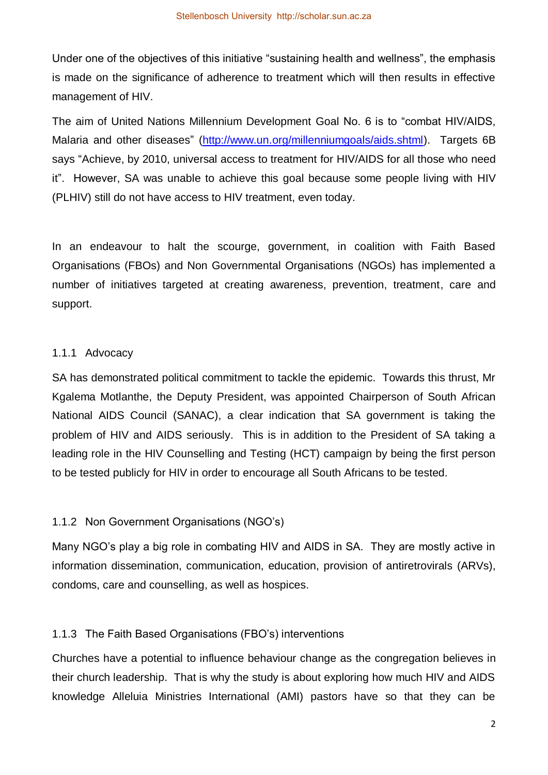Under one of the objectives of this initiative "sustaining health and wellness", the emphasis is made on the significance of adherence to treatment which will then results in effective management of HIV.

The aim of United Nations Millennium Development Goal No. 6 is to "combat HIV/AIDS, Malaria and other diseases" [\(http://www.un.org/millenniumgoals/aids.shtml\)](http://www.un.org/millenniumgoals/aids.shtml). Targets 6B says "Achieve, by 2010, universal access to treatment for HIV/AIDS for all those who need it". However, SA was unable to achieve this goal because some people living with HIV (PLHIV) still do not have access to HIV treatment, even today.

In an endeavour to halt the scourge, government, in coalition with Faith Based Organisations (FBOs) and Non Governmental Organisations (NGOs) has implemented a number of initiatives targeted at creating awareness, prevention, treatment, care and support.

#### 1.1.1 Advocacy

SA has demonstrated political commitment to tackle the epidemic. Towards this thrust, Mr Kgalema Motlanthe, the Deputy President, was appointed Chairperson of South African National AIDS Council (SANAC), a clear indication that SA government is taking the problem of HIV and AIDS seriously. This is in addition to the President of SA taking a leading role in the HIV Counselling and Testing (HCT) campaign by being the first person to be tested publicly for HIV in order to encourage all South Africans to be tested.

## 1.1.2 Non Government Organisations (NGO's)

Many NGO's play a big role in combating HIV and AIDS in SA. They are mostly active in information dissemination, communication, education, provision of antiretrovirals (ARVs), condoms, care and counselling, as well as hospices.

## 1.1.3 The Faith Based Organisations (FBO's) interventions

Churches have a potential to influence behaviour change as the congregation believes in their church leadership. That is why the study is about exploring how much HIV and AIDS knowledge Alleluia Ministries International (AMI) pastors have so that they can be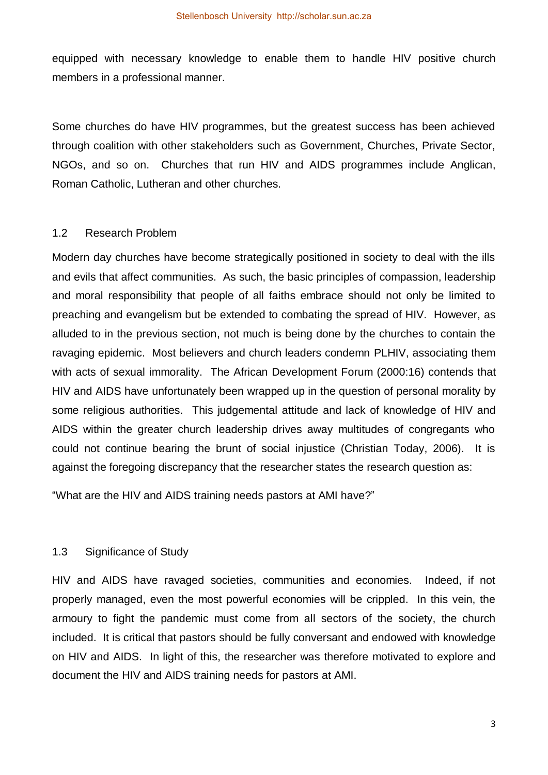equipped with necessary knowledge to enable them to handle HIV positive church members in a professional manner.

Some churches do have HIV programmes, but the greatest success has been achieved through coalition with other stakeholders such as Government, Churches, Private Sector, NGOs, and so on. Churches that run HIV and AIDS programmes include Anglican, Roman Catholic, Lutheran and other churches.

#### 1.2 Research Problem

Modern day churches have become strategically positioned in society to deal with the ills and evils that affect communities. As such, the basic principles of compassion, leadership and moral responsibility that people of all faiths embrace should not only be limited to preaching and evangelism but be extended to combating the spread of HIV. However, as alluded to in the previous section, not much is being done by the churches to contain the ravaging epidemic. Most believers and church leaders condemn PLHIV, associating them with acts of sexual immorality. The African Development Forum (2000:16) contends that HIV and AIDS have unfortunately been wrapped up in the question of personal morality by some religious authorities. This judgemental attitude and lack of knowledge of HIV and AIDS within the greater church leadership drives away multitudes of congregants who could not continue bearing the brunt of social injustice (Christian Today, 2006). It is against the foregoing discrepancy that the researcher states the research question as:

"What are the HIV and AIDS training needs pastors at AMI have?"

## 1.3 Significance of Study

HIV and AIDS have ravaged societies, communities and economies. Indeed, if not properly managed, even the most powerful economies will be crippled. In this vein, the armoury to fight the pandemic must come from all sectors of the society, the church included. It is critical that pastors should be fully conversant and endowed with knowledge on HIV and AIDS. In light of this, the researcher was therefore motivated to explore and document the HIV and AIDS training needs for pastors at AMI.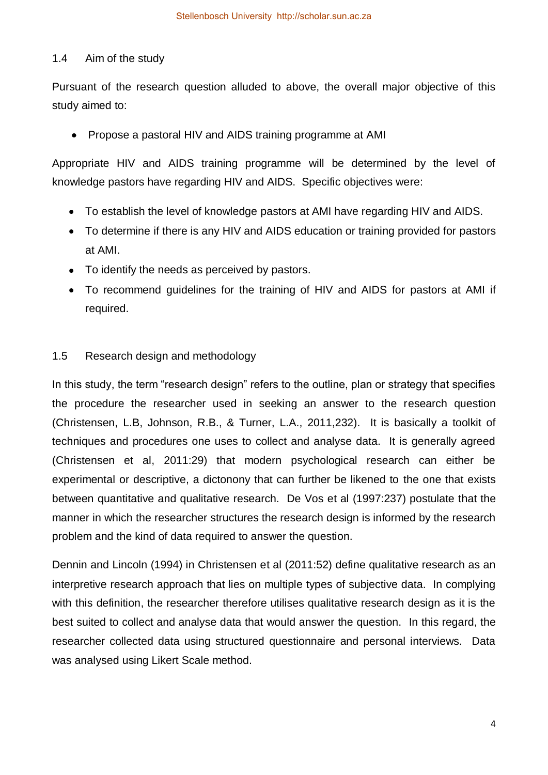# 1.4 Aim of the study

Pursuant of the research question alluded to above, the overall major objective of this study aimed to:

Propose a pastoral HIV and AIDS training programme at AMI

Appropriate HIV and AIDS training programme will be determined by the level of knowledge pastors have regarding HIV and AIDS. Specific objectives were:

- To establish the level of knowledge pastors at AMI have regarding HIV and AIDS.
- To determine if there is any HIV and AIDS education or training provided for pastors at AMI.
- To identify the needs as perceived by pastors.
- To recommend guidelines for the training of HIV and AIDS for pastors at AMI if required.

# 1.5 Research design and methodology

In this study, the term "research design" refers to the outline, plan or strategy that specifies the procedure the researcher used in seeking an answer to the research question (Christensen, L.B, Johnson, R.B., & Turner, L.A., 2011,232). It is basically a toolkit of techniques and procedures one uses to collect and analyse data. It is generally agreed (Christensen et al, 2011:29) that modern psychological research can either be experimental or descriptive, a dictonony that can further be likened to the one that exists between quantitative and qualitative research. De Vos et al (1997:237) postulate that the manner in which the researcher structures the research design is informed by the research problem and the kind of data required to answer the question.

Dennin and Lincoln (1994) in Christensen et al (2011:52) define qualitative research as an interpretive research approach that lies on multiple types of subjective data. In complying with this definition, the researcher therefore utilises qualitative research design as it is the best suited to collect and analyse data that would answer the question. In this regard, the researcher collected data using structured questionnaire and personal interviews. Data was analysed using Likert Scale method.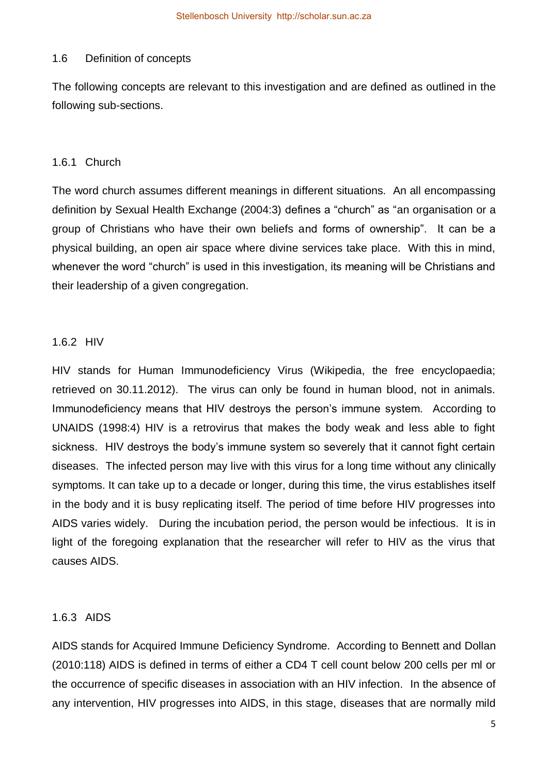#### 1.6 Definition of concepts

The following concepts are relevant to this investigation and are defined as outlined in the following sub-sections.

#### 1.6.1 Church

The word church assumes different meanings in different situations. An all encompassing definition by Sexual Health Exchange (2004:3) defines a "church" as "an organisation or a group of Christians who have their own beliefs and forms of ownership". It can be a physical building, an open air space where divine services take place. With this in mind, whenever the word "church" is used in this investigation, its meaning will be Christians and their leadership of a given congregation.

#### 1.6.2 HIV

HIV stands for Human Immunodeficiency Virus (Wikipedia, the free encyclopaedia; retrieved on 30.11.2012). The virus can only be found in human blood, not in animals. Immunodeficiency means that HIV destroys the person's immune system. According to UNAIDS (1998:4) HIV is a retrovirus that makes the body weak and less able to fight sickness. HIV destroys the body's immune system so severely that it cannot fight certain diseases. The infected person may live with this virus for a long time without any clinically symptoms. It can take up to a decade or longer, during this time, the virus establishes itself in the body and it is busy replicating itself. The period of time before HIV progresses into AIDS varies widely. During the incubation period, the person would be infectious. It is in light of the foregoing explanation that the researcher will refer to HIV as the virus that causes AIDS.

#### 1.6.3 AIDS

AIDS stands for Acquired Immune Deficiency Syndrome. According to Bennett and Dollan (2010:118) AIDS is defined in terms of either a CD4 T cell count below 200 cells per ml or the occurrence of specific diseases in association with an HIV infection. In the absence of any intervention, HIV progresses into AIDS, in this stage, diseases that are normally mild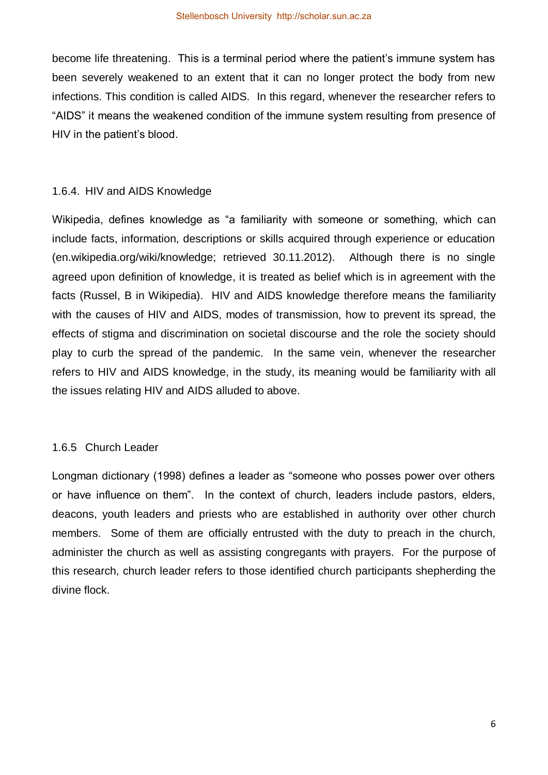become life threatening. This is a terminal period where the patient's immune system has been severely weakened to an extent that it can no longer protect the body from new infections. This condition is called AIDS. In this regard, whenever the researcher refers to "AIDS" it means the weakened condition of the immune system resulting from presence of HIV in the patient's blood.

## 1.6.4. HIV and AIDS Knowledge

Wikipedia, defines knowledge as "a familiarity with someone or something, which can include facts, information, descriptions or skills acquired through experience or education (en.wikipedia.org/wiki/knowledge; retrieved 30.11.2012). Although there is no single agreed upon definition of knowledge, it is treated as belief which is in agreement with the facts (Russel, B in Wikipedia). HIV and AIDS knowledge therefore means the familiarity with the causes of HIV and AIDS, modes of transmission, how to prevent its spread, the effects of stigma and discrimination on societal discourse and the role the society should play to curb the spread of the pandemic. In the same vein, whenever the researcher refers to HIV and AIDS knowledge, in the study, its meaning would be familiarity with all the issues relating HIV and AIDS alluded to above.

## 1.6.5 Church Leader

Longman dictionary (1998) defines a leader as "someone who posses power over others or have influence on them". In the context of church, leaders include pastors, elders, deacons, youth leaders and priests who are established in authority over other church members. Some of them are officially entrusted with the duty to preach in the church, administer the church as well as assisting congregants with prayers. For the purpose of this research, church leader refers to those identified church participants shepherding the divine flock.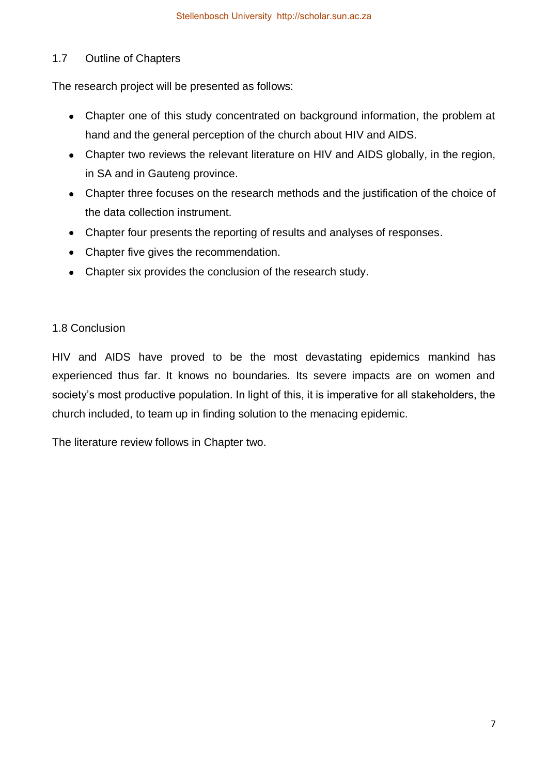# 1.7 Outline of Chapters

The research project will be presented as follows:

- Chapter one of this study concentrated on background information, the problem at hand and the general perception of the church about HIV and AIDS.
- Chapter two reviews the relevant literature on HIV and AIDS globally, in the region, in SA and in Gauteng province.
- Chapter three focuses on the research methods and the justification of the choice of the data collection instrument.
- Chapter four presents the reporting of results and analyses of responses.
- Chapter five gives the recommendation.
- Chapter six provides the conclusion of the research study.

# 1.8 Conclusion

HIV and AIDS have proved to be the most devastating epidemics mankind has experienced thus far. It knows no boundaries. Its severe impacts are on women and society's most productive population. In light of this, it is imperative for all stakeholders, the church included, to team up in finding solution to the menacing epidemic.

The literature review follows in Chapter two.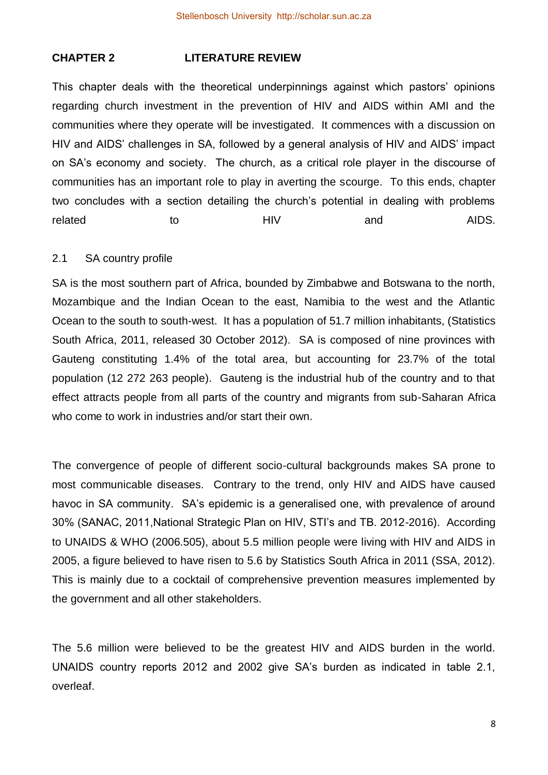# **CHAPTER 2 LITERATURE REVIEW**

This chapter deals with the theoretical underpinnings against which pastors' opinions regarding church investment in the prevention of HIV and AIDS within AMI and the communities where they operate will be investigated. It commences with a discussion on HIV and AIDS' challenges in SA, followed by a general analysis of HIV and AIDS' impact on SA's economy and society. The church, as a critical role player in the discourse of communities has an important role to play in averting the scourge. To this ends, chapter two concludes with a section detailing the church's potential in dealing with problems related to to HIV and AIDS.

#### 2.1 SA country profile

SA is the most southern part of Africa, bounded by Zimbabwe and Botswana to the north, Mozambique and the Indian Ocean to the east, Namibia to the west and the Atlantic Ocean to the south to south-west. It has a population of 51.7 million inhabitants, (Statistics South Africa, 2011, released 30 October 2012). SA is composed of nine provinces with Gauteng constituting 1.4% of the total area, but accounting for 23.7% of the total population (12 272 263 people). Gauteng is the industrial hub of the country and to that effect attracts people from all parts of the country and migrants from sub-Saharan Africa who come to work in industries and/or start their own.

The convergence of people of different socio-cultural backgrounds makes SA prone to most communicable diseases. Contrary to the trend, only HIV and AIDS have caused havoc in SA community. SA's epidemic is a generalised one, with prevalence of around 30% (SANAC, 2011,National Strategic Plan on HIV, STI's and TB. 2012-2016). According to UNAIDS & WHO (2006.505), about 5.5 million people were living with HIV and AIDS in 2005, a figure believed to have risen to 5.6 by Statistics South Africa in 2011 (SSA, 2012). This is mainly due to a cocktail of comprehensive prevention measures implemented by the government and all other stakeholders.

The 5.6 million were believed to be the greatest HIV and AIDS burden in the world. UNAIDS country reports 2012 and 2002 give SA's burden as indicated in table 2.1, overleaf.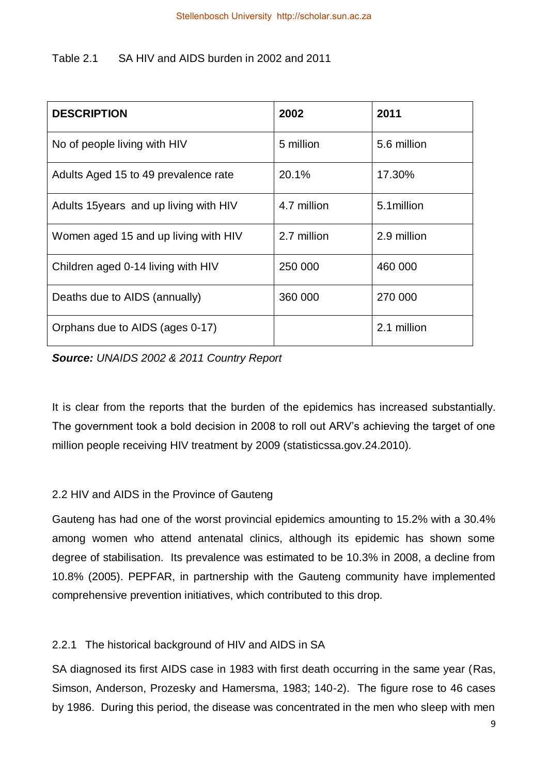# Table 2.1 SA HIV and AIDS burden in 2002 and 2011

| <b>DESCRIPTION</b>                     | 2002        | 2011        |
|----------------------------------------|-------------|-------------|
| No of people living with HIV           | 5 million   | 5.6 million |
| Adults Aged 15 to 49 prevalence rate   | 20.1%       | 17.30%      |
| Adults 15 years and up living with HIV | 4.7 million | 5.1 million |
| Women aged 15 and up living with HIV   | 2.7 million | 2.9 million |
| Children aged 0-14 living with HIV     | 250 000     | 460 000     |
| Deaths due to AIDS (annually)          | 360 000     | 270 000     |
| Orphans due to AIDS (ages 0-17)        |             | 2.1 million |

*Source: UNAIDS 2002 & 2011 Country Report*

It is clear from the reports that the burden of the epidemics has increased substantially. The government took a bold decision in 2008 to roll out ARV's achieving the target of one million people receiving HIV treatment by 2009 (statisticssa.gov.24.2010).

# 2.2 HIV and AIDS in the Province of Gauteng

Gauteng has had one of the worst provincial epidemics amounting to 15.2% with a 30.4% among women who attend antenatal clinics, although its epidemic has shown some degree of stabilisation. Its prevalence was estimated to be 10.3% in 2008, a decline from 10.8% (2005). PEPFAR, in partnership with the Gauteng community have implemented comprehensive prevention initiatives, which contributed to this drop.

# 2.2.1 The historical background of HIV and AIDS in SA

SA diagnosed its first AIDS case in 1983 with first death occurring in the same year (Ras, Simson, Anderson, Prozesky and Hamersma, 1983; 140-2). The figure rose to 46 cases by 1986. During this period, the disease was concentrated in the men who sleep with men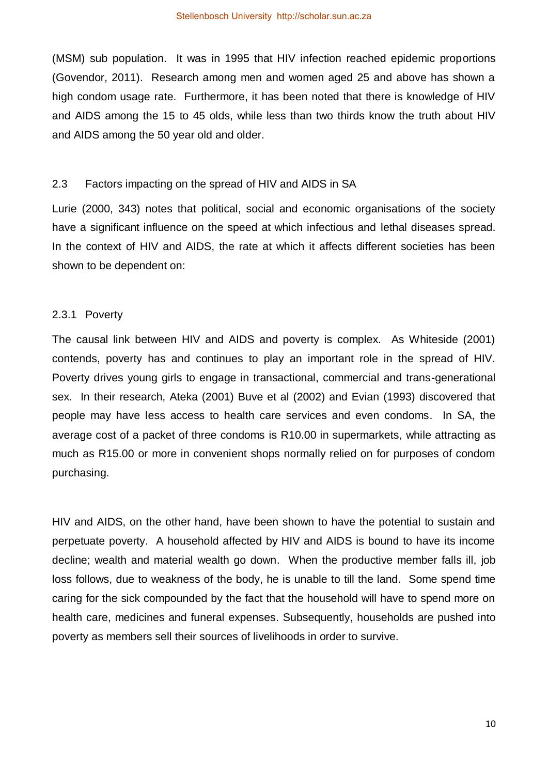(MSM) sub population. It was in 1995 that HIV infection reached epidemic proportions (Govendor, 2011). Research among men and women aged 25 and above has shown a high condom usage rate. Furthermore, it has been noted that there is knowledge of HIV and AIDS among the 15 to 45 olds, while less than two thirds know the truth about HIV and AIDS among the 50 year old and older.

#### 2.3 Factors impacting on the spread of HIV and AIDS in SA

Lurie (2000, 343) notes that political, social and economic organisations of the society have a significant influence on the speed at which infectious and lethal diseases spread. In the context of HIV and AIDS, the rate at which it affects different societies has been shown to be dependent on:

#### 2.3.1 Poverty

The causal link between HIV and AIDS and poverty is complex. As Whiteside (2001) contends, poverty has and continues to play an important role in the spread of HIV. Poverty drives young girls to engage in transactional, commercial and trans-generational sex. In their research, Ateka (2001) Buve et al (2002) and Evian (1993) discovered that people may have less access to health care services and even condoms. In SA, the average cost of a packet of three condoms is R10.00 in supermarkets, while attracting as much as R15.00 or more in convenient shops normally relied on for purposes of condom purchasing.

HIV and AIDS, on the other hand, have been shown to have the potential to sustain and perpetuate poverty. A household affected by HIV and AIDS is bound to have its income decline; wealth and material wealth go down. When the productive member falls ill, job loss follows, due to weakness of the body, he is unable to till the land. Some spend time caring for the sick compounded by the fact that the household will have to spend more on health care, medicines and funeral expenses. Subsequently, households are pushed into poverty as members sell their sources of livelihoods in order to survive.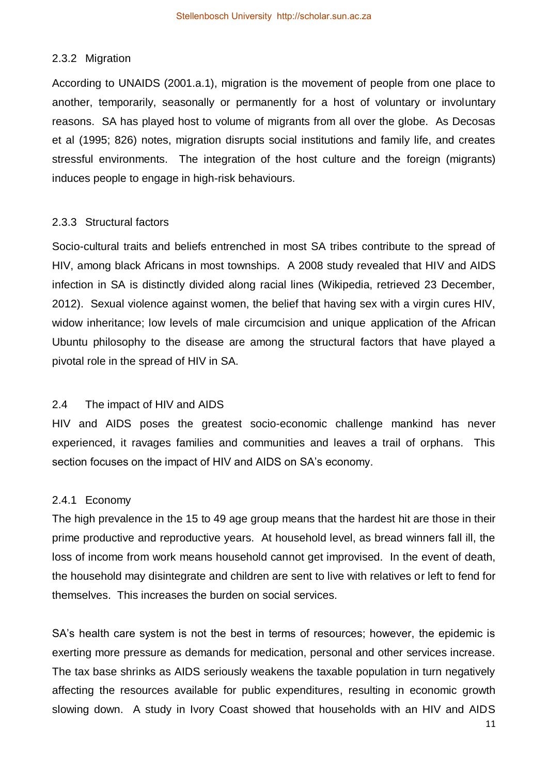#### 2.3.2 Migration

According to UNAIDS (2001.a.1), migration is the movement of people from one place to another, temporarily, seasonally or permanently for a host of voluntary or involuntary reasons. SA has played host to volume of migrants from all over the globe. As Decosas et al (1995; 826) notes, migration disrupts social institutions and family life, and creates stressful environments. The integration of the host culture and the foreign (migrants) induces people to engage in high-risk behaviours.

#### 2.3.3 Structural factors

Socio-cultural traits and beliefs entrenched in most SA tribes contribute to the spread of HIV, among black Africans in most townships. A 2008 study revealed that HIV and AIDS infection in SA is distinctly divided along racial lines (Wikipedia, retrieved 23 December, 2012). Sexual violence against women, the belief that having sex with a virgin cures HIV, widow inheritance; low levels of male circumcision and unique application of the African Ubuntu philosophy to the disease are among the structural factors that have played a pivotal role in the spread of HIV in SA.

## 2.4 The impact of HIV and AIDS

HIV and AIDS poses the greatest socio-economic challenge mankind has never experienced, it ravages families and communities and leaves a trail of orphans. This section focuses on the impact of HIV and AIDS on SA's economy.

#### 2.4.1 Economy

The high prevalence in the 15 to 49 age group means that the hardest hit are those in their prime productive and reproductive years. At household level, as bread winners fall ill, the loss of income from work means household cannot get improvised. In the event of death, the household may disintegrate and children are sent to live with relatives or left to fend for themselves. This increases the burden on social services.

SA's health care system is not the best in terms of resources; however, the epidemic is exerting more pressure as demands for medication, personal and other services increase. The tax base shrinks as AIDS seriously weakens the taxable population in turn negatively affecting the resources available for public expenditures, resulting in economic growth slowing down. A study in Ivory Coast showed that households with an HIV and AIDS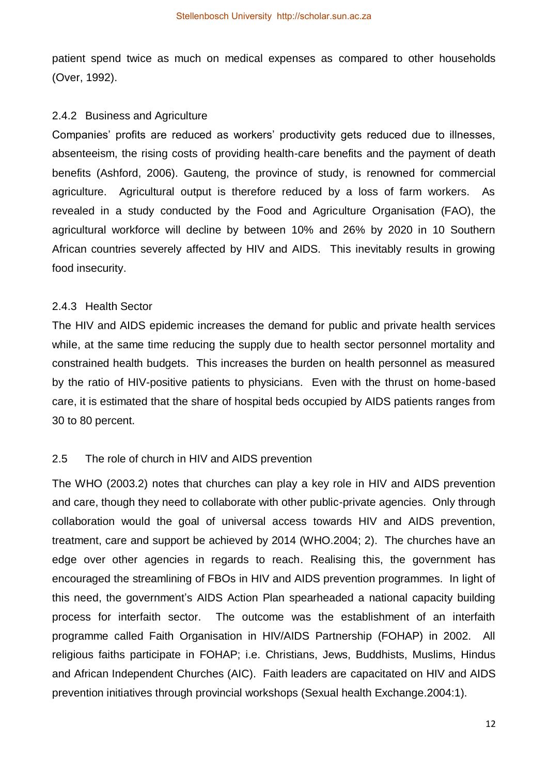patient spend twice as much on medical expenses as compared to other households (Over, 1992).

#### 2.4.2 Business and Agriculture

Companies' profits are reduced as workers' productivity gets reduced due to illnesses, absenteeism, the rising costs of providing health-care benefits and the payment of death benefits (Ashford, 2006). Gauteng, the province of study, is renowned for commercial agriculture. Agricultural output is therefore reduced by a loss of farm workers. As revealed in a study conducted by the Food and Agriculture Organisation (FAO), the agricultural workforce will decline by between 10% and 26% by 2020 in 10 Southern African countries severely affected by HIV and AIDS. This inevitably results in growing food insecurity.

#### 2.4.3 Health Sector

The HIV and AIDS epidemic increases the demand for public and private health services while, at the same time reducing the supply due to health sector personnel mortality and constrained health budgets. This increases the burden on health personnel as measured by the ratio of HIV-positive patients to physicians. Even with the thrust on home-based care, it is estimated that the share of hospital beds occupied by AIDS patients ranges from 30 to 80 percent.

#### 2.5 The role of church in HIV and AIDS prevention

The WHO (2003.2) notes that churches can play a key role in HIV and AIDS prevention and care, though they need to collaborate with other public-private agencies. Only through collaboration would the goal of universal access towards HIV and AIDS prevention, treatment, care and support be achieved by 2014 (WHO.2004; 2). The churches have an edge over other agencies in regards to reach. Realising this, the government has encouraged the streamlining of FBOs in HIV and AIDS prevention programmes. In light of this need, the government's AIDS Action Plan spearheaded a national capacity building process for interfaith sector. The outcome was the establishment of an interfaith programme called Faith Organisation in HIV/AIDS Partnership (FOHAP) in 2002. All religious faiths participate in FOHAP; i.e. Christians, Jews, Buddhists, Muslims, Hindus and African Independent Churches (AIC). Faith leaders are capacitated on HIV and AIDS prevention initiatives through provincial workshops (Sexual health Exchange.2004:1).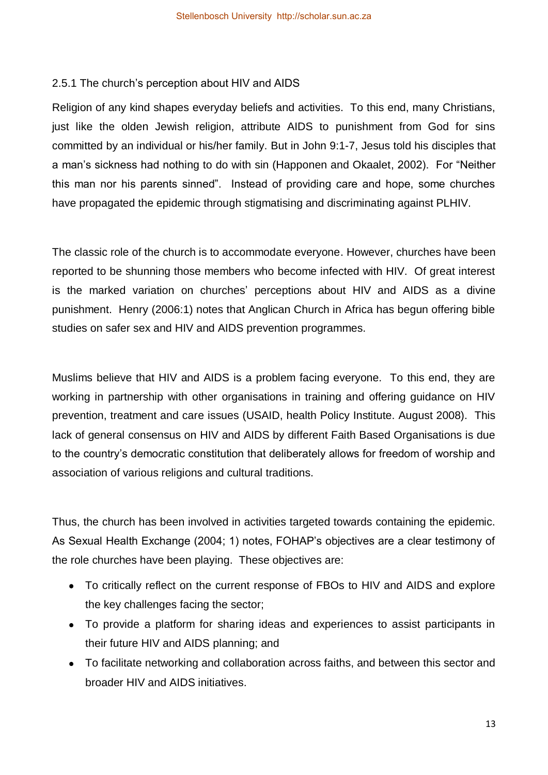# 2.5.1 The church's perception about HIV and AIDS

Religion of any kind shapes everyday beliefs and activities. To this end, many Christians, just like the olden Jewish religion, attribute AIDS to punishment from God for sins committed by an individual or his/her family. But in John 9:1-7, Jesus told his disciples that a man's sickness had nothing to do with sin (Happonen and Okaalet, 2002). For "Neither this man nor his parents sinned". Instead of providing care and hope, some churches have propagated the epidemic through stigmatising and discriminating against PLHIV.

The classic role of the church is to accommodate everyone. However, churches have been reported to be shunning those members who become infected with HIV. Of great interest is the marked variation on churches' perceptions about HIV and AIDS as a divine punishment. Henry (2006:1) notes that Anglican Church in Africa has begun offering bible studies on safer sex and HIV and AIDS prevention programmes.

Muslims believe that HIV and AIDS is a problem facing everyone. To this end, they are working in partnership with other organisations in training and offering guidance on HIV prevention, treatment and care issues (USAID, health Policy Institute. August 2008). This lack of general consensus on HIV and AIDS by different Faith Based Organisations is due to the country's democratic constitution that deliberately allows for freedom of worship and association of various religions and cultural traditions.

Thus, the church has been involved in activities targeted towards containing the epidemic. As Sexual Health Exchange (2004; 1) notes, FOHAP's objectives are a clear testimony of the role churches have been playing. These objectives are:

- To critically reflect on the current response of FBOs to HIV and AIDS and explore the key challenges facing the sector;
- To provide a platform for sharing ideas and experiences to assist participants in their future HIV and AIDS planning; and
- To facilitate networking and collaboration across faiths, and between this sector and broader HIV and AIDS initiatives.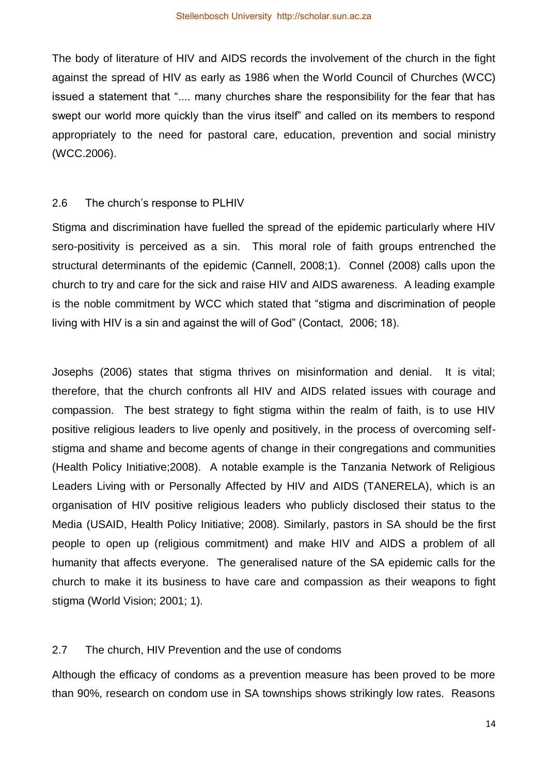The body of literature of HIV and AIDS records the involvement of the church in the fight against the spread of HIV as early as 1986 when the World Council of Churches (WCC) issued a statement that ".... many churches share the responsibility for the fear that has swept our world more quickly than the virus itself" and called on its members to respond appropriately to the need for pastoral care, education, prevention and social ministry (WCC.2006).

#### 2.6 The church's response to PLHIV

Stigma and discrimination have fuelled the spread of the epidemic particularly where HIV sero-positivity is perceived as a sin. This moral role of faith groups entrenched the structural determinants of the epidemic (Cannell, 2008;1). Connel (2008) calls upon the church to try and care for the sick and raise HIV and AIDS awareness. A leading example is the noble commitment by WCC which stated that "stigma and discrimination of people living with HIV is a sin and against the will of God" (Contact, 2006; 18).

Josephs (2006) states that stigma thrives on misinformation and denial. It is vital; therefore, that the church confronts all HIV and AIDS related issues with courage and compassion. The best strategy to fight stigma within the realm of faith, is to use HIV positive religious leaders to live openly and positively, in the process of overcoming selfstigma and shame and become agents of change in their congregations and communities (Health Policy Initiative;2008). A notable example is the Tanzania Network of Religious Leaders Living with or Personally Affected by HIV and AIDS (TANERELA), which is an organisation of HIV positive religious leaders who publicly disclosed their status to the Media (USAID, Health Policy Initiative; 2008). Similarly, pastors in SA should be the first people to open up (religious commitment) and make HIV and AIDS a problem of all humanity that affects everyone. The generalised nature of the SA epidemic calls for the church to make it its business to have care and compassion as their weapons to fight stigma (World Vision; 2001; 1).

## 2.7 The church, HIV Prevention and the use of condoms

Although the efficacy of condoms as a prevention measure has been proved to be more than 90%, research on condom use in SA townships shows strikingly low rates. Reasons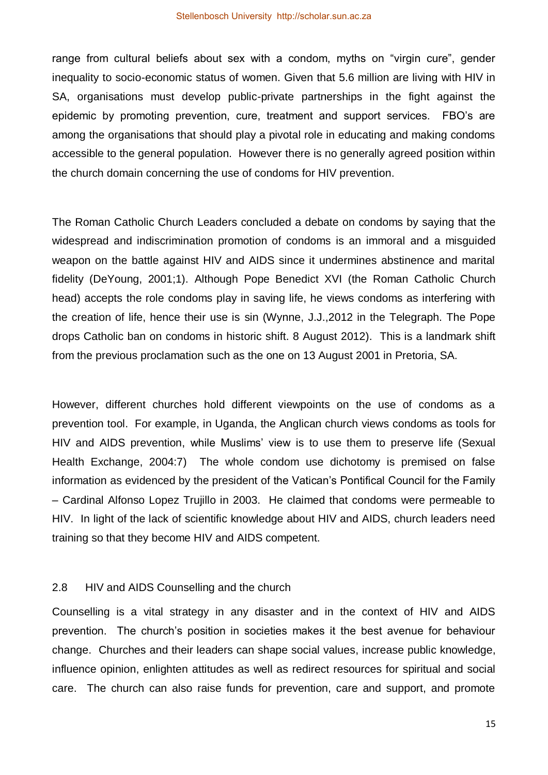range from cultural beliefs about sex with a condom, myths on "virgin cure", gender inequality to socio-economic status of women. Given that 5.6 million are living with HIV in SA, organisations must develop public-private partnerships in the fight against the epidemic by promoting prevention, cure, treatment and support services. FBO's are among the organisations that should play a pivotal role in educating and making condoms accessible to the general population. However there is no generally agreed position within the church domain concerning the use of condoms for HIV prevention.

The Roman Catholic Church Leaders concluded a debate on condoms by saying that the widespread and indiscrimination promotion of condoms is an immoral and a misguided weapon on the battle against HIV and AIDS since it undermines abstinence and marital fidelity (DeYoung, 2001;1). Although Pope Benedict XVI (the Roman Catholic Church head) accepts the role condoms play in saving life, he views condoms as interfering with the creation of life, hence their use is sin (Wynne, J.J.,2012 in the Telegraph. The Pope drops Catholic ban on condoms in historic shift. 8 August 2012). This is a landmark shift from the previous proclamation such as the one on 13 August 2001 in Pretoria, SA.

However, different churches hold different viewpoints on the use of condoms as a prevention tool. For example, in Uganda, the Anglican church views condoms as tools for HIV and AIDS prevention, while Muslims' view is to use them to preserve life (Sexual Health Exchange, 2004:7) The whole condom use dichotomy is premised on false information as evidenced by the president of the Vatican's Pontifical Council for the Family – Cardinal Alfonso Lopez Trujillo in 2003. He claimed that condoms were permeable to HIV. In light of the lack of scientific knowledge about HIV and AIDS, church leaders need training so that they become HIV and AIDS competent.

## 2.8 HIV and AIDS Counselling and the church

Counselling is a vital strategy in any disaster and in the context of HIV and AIDS prevention. The church's position in societies makes it the best avenue for behaviour change. Churches and their leaders can shape social values, increase public knowledge, influence opinion, enlighten attitudes as well as redirect resources for spiritual and social care. The church can also raise funds for prevention, care and support, and promote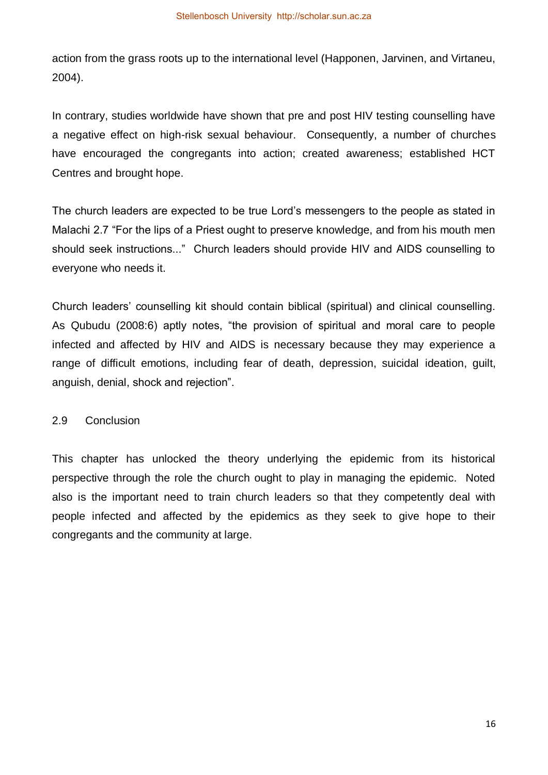action from the grass roots up to the international level (Happonen, Jarvinen, and Virtaneu, 2004).

In contrary, studies worldwide have shown that pre and post HIV testing counselling have a negative effect on high-risk sexual behaviour. Consequently, a number of churches have encouraged the congregants into action; created awareness; established HCT Centres and brought hope.

The church leaders are expected to be true Lord's messengers to the people as stated in Malachi 2.7 "For the lips of a Priest ought to preserve knowledge, and from his mouth men should seek instructions..." Church leaders should provide HIV and AIDS counselling to everyone who needs it.

Church leaders' counselling kit should contain biblical (spiritual) and clinical counselling. As Qubudu (2008:6) aptly notes, "the provision of spiritual and moral care to people infected and affected by HIV and AIDS is necessary because they may experience a range of difficult emotions, including fear of death, depression, suicidal ideation, guilt, anguish, denial, shock and rejection".

#### 2.9 Conclusion

This chapter has unlocked the theory underlying the epidemic from its historical perspective through the role the church ought to play in managing the epidemic. Noted also is the important need to train church leaders so that they competently deal with people infected and affected by the epidemics as they seek to give hope to their congregants and the community at large.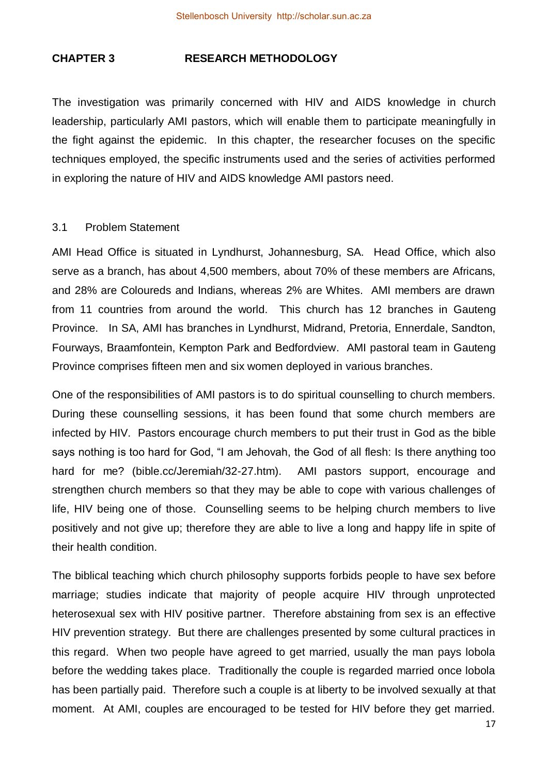#### **CHAPTER 3 RESEARCH METHODOLOGY**

The investigation was primarily concerned with HIV and AIDS knowledge in church leadership, particularly AMI pastors, which will enable them to participate meaningfully in the fight against the epidemic. In this chapter, the researcher focuses on the specific techniques employed, the specific instruments used and the series of activities performed in exploring the nature of HIV and AIDS knowledge AMI pastors need.

#### 3.1 Problem Statement

AMI Head Office is situated in Lyndhurst, Johannesburg, SA. Head Office, which also serve as a branch, has about 4,500 members, about 70% of these members are Africans, and 28% are Coloureds and Indians, whereas 2% are Whites. AMI members are drawn from 11 countries from around the world. This church has 12 branches in Gauteng Province. In SA, AMI has branches in Lyndhurst, Midrand, Pretoria, Ennerdale, Sandton, Fourways, Braamfontein, Kempton Park and Bedfordview. AMI pastoral team in Gauteng Province comprises fifteen men and six women deployed in various branches.

One of the responsibilities of AMI pastors is to do spiritual counselling to church members. During these counselling sessions, it has been found that some church members are infected by HIV. Pastors encourage church members to put their trust in God as the bible says nothing is too hard for God, "I am Jehovah, the God of all flesh: Is there anything too hard for me? (bible.cc/Jeremiah/32-27.htm). AMI pastors support, encourage and strengthen church members so that they may be able to cope with various challenges of life, HIV being one of those. Counselling seems to be helping church members to live positively and not give up; therefore they are able to live a long and happy life in spite of their health condition.

The biblical teaching which church philosophy supports forbids people to have sex before marriage; studies indicate that majority of people acquire HIV through unprotected heterosexual sex with HIV positive partner. Therefore abstaining from sex is an effective HIV prevention strategy. But there are challenges presented by some cultural practices in this regard. When two people have agreed to get married, usually the man pays lobola before the wedding takes place. Traditionally the couple is regarded married once lobola has been partially paid. Therefore such a couple is at liberty to be involved sexually at that moment. At AMI, couples are encouraged to be tested for HIV before they get married.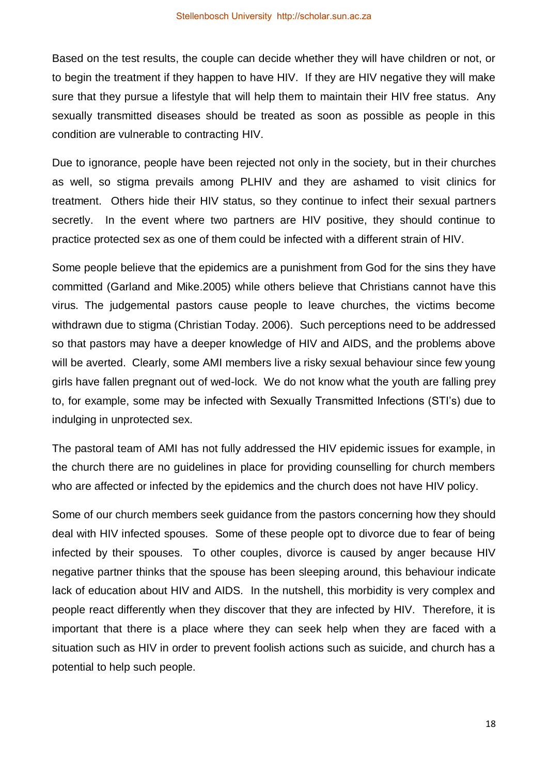Based on the test results, the couple can decide whether they will have children or not, or to begin the treatment if they happen to have HIV. If they are HIV negative they will make sure that they pursue a lifestyle that will help them to maintain their HIV free status. Any sexually transmitted diseases should be treated as soon as possible as people in this condition are vulnerable to contracting HIV.

Due to ignorance, people have been rejected not only in the society, but in their churches as well, so stigma prevails among PLHIV and they are ashamed to visit clinics for treatment. Others hide their HIV status, so they continue to infect their sexual partners secretly. In the event where two partners are HIV positive, they should continue to practice protected sex as one of them could be infected with a different strain of HIV.

Some people believe that the epidemics are a punishment from God for the sins they have committed (Garland and Mike.2005) while others believe that Christians cannot have this virus. The judgemental pastors cause people to leave churches, the victims become withdrawn due to stigma (Christian Today. 2006). Such perceptions need to be addressed so that pastors may have a deeper knowledge of HIV and AIDS, and the problems above will be averted. Clearly, some AMI members live a risky sexual behaviour since few young girls have fallen pregnant out of wed-lock. We do not know what the youth are falling prey to, for example, some may be infected with Sexually Transmitted Infections (STI's) due to indulging in unprotected sex.

The pastoral team of AMI has not fully addressed the HIV epidemic issues for example, in the church there are no guidelines in place for providing counselling for church members who are affected or infected by the epidemics and the church does not have HIV policy.

Some of our church members seek guidance from the pastors concerning how they should deal with HIV infected spouses. Some of these people opt to divorce due to fear of being infected by their spouses. To other couples, divorce is caused by anger because HIV negative partner thinks that the spouse has been sleeping around, this behaviour indicate lack of education about HIV and AIDS. In the nutshell, this morbidity is very complex and people react differently when they discover that they are infected by HIV. Therefore, it is important that there is a place where they can seek help when they are faced with a situation such as HIV in order to prevent foolish actions such as suicide, and church has a potential to help such people.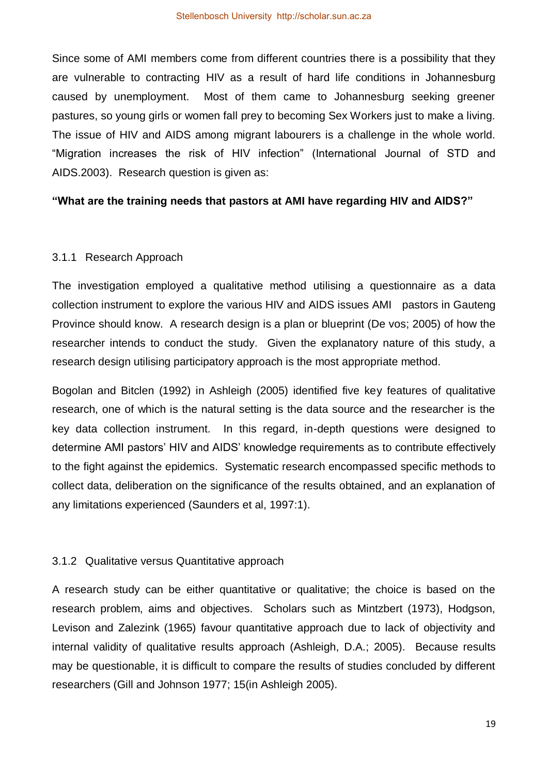Since some of AMI members come from different countries there is a possibility that they are vulnerable to contracting HIV as a result of hard life conditions in Johannesburg caused by unemployment. Most of them came to Johannesburg seeking greener pastures, so young girls or women fall prey to becoming Sex Workers just to make a living. The issue of HIV and AIDS among migrant labourers is a challenge in the whole world. "Migration increases the risk of HIV infection" (International Journal of STD and AIDS.2003). Research question is given as:

#### **"What are the training needs that pastors at AMI have regarding HIV and AIDS?"**

#### 3.1.1 Research Approach

The investigation employed a qualitative method utilising a questionnaire as a data collection instrument to explore the various HIV and AIDS issues AMI pastors in Gauteng Province should know. A research design is a plan or blueprint (De vos; 2005) of how the researcher intends to conduct the study. Given the explanatory nature of this study, a research design utilising participatory approach is the most appropriate method.

Bogolan and Bitclen (1992) in Ashleigh (2005) identified five key features of qualitative research, one of which is the natural setting is the data source and the researcher is the key data collection instrument. In this regard, in-depth questions were designed to determine AMI pastors' HIV and AIDS' knowledge requirements as to contribute effectively to the fight against the epidemics. Systematic research encompassed specific methods to collect data, deliberation on the significance of the results obtained, and an explanation of any limitations experienced (Saunders et al, 1997:1).

## 3.1.2 Qualitative versus Quantitative approach

A research study can be either quantitative or qualitative; the choice is based on the research problem, aims and objectives. Scholars such as Mintzbert (1973), Hodgson, Levison and Zalezink (1965) favour quantitative approach due to lack of objectivity and internal validity of qualitative results approach (Ashleigh, D.A.; 2005). Because results may be questionable, it is difficult to compare the results of studies concluded by different researchers (Gill and Johnson 1977; 15(in Ashleigh 2005).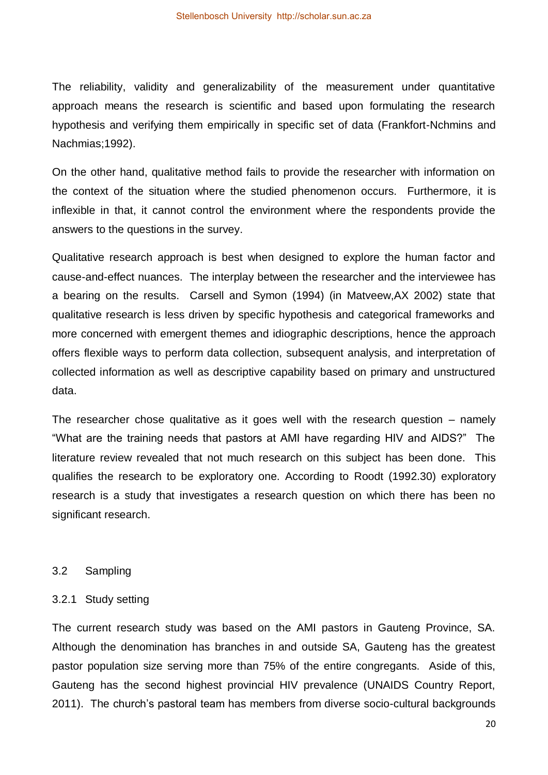The reliability, validity and generalizability of the measurement under quantitative approach means the research is scientific and based upon formulating the research hypothesis and verifying them empirically in specific set of data (Frankfort-Nchmins and Nachmias;1992).

On the other hand, qualitative method fails to provide the researcher with information on the context of the situation where the studied phenomenon occurs. Furthermore, it is inflexible in that, it cannot control the environment where the respondents provide the answers to the questions in the survey.

Qualitative research approach is best when designed to explore the human factor and cause-and-effect nuances. The interplay between the researcher and the interviewee has a bearing on the results. Carsell and Symon (1994) (in Matveew,AX 2002) state that qualitative research is less driven by specific hypothesis and categorical frameworks and more concerned with emergent themes and idiographic descriptions, hence the approach offers flexible ways to perform data collection, subsequent analysis, and interpretation of collected information as well as descriptive capability based on primary and unstructured data.

The researcher chose qualitative as it goes well with the research question  $-$  namely "What are the training needs that pastors at AMI have regarding HIV and AIDS?" The literature review revealed that not much research on this subject has been done. This qualifies the research to be exploratory one. According to Roodt (1992.30) exploratory research is a study that investigates a research question on which there has been no significant research.

#### 3.2 Sampling

#### 3.2.1 Study setting

The current research study was based on the AMI pastors in Gauteng Province, SA. Although the denomination has branches in and outside SA, Gauteng has the greatest pastor population size serving more than 75% of the entire congregants. Aside of this, Gauteng has the second highest provincial HIV prevalence (UNAIDS Country Report, 2011). The church's pastoral team has members from diverse socio-cultural backgrounds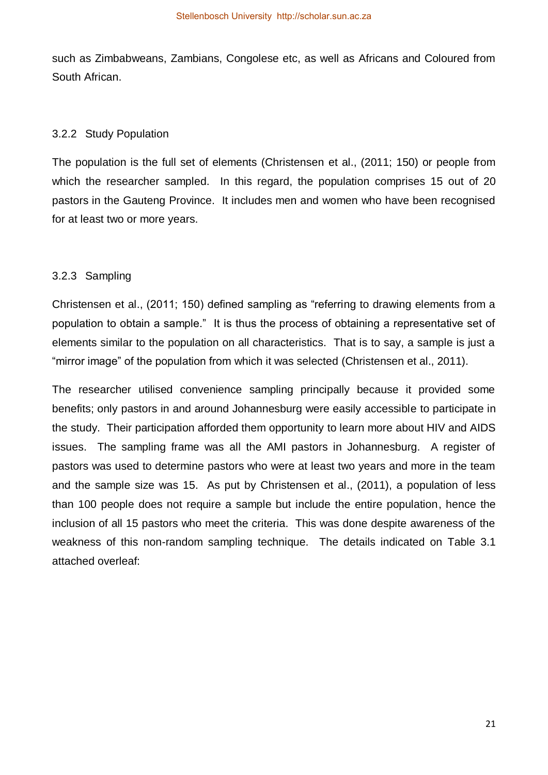such as Zimbabweans, Zambians, Congolese etc, as well as Africans and Coloured from South African.

#### 3.2.2 Study Population

The population is the full set of elements (Christensen et al., (2011; 150) or people from which the researcher sampled. In this regard, the population comprises 15 out of 20 pastors in the Gauteng Province. It includes men and women who have been recognised for at least two or more years.

#### 3.2.3 Sampling

Christensen et al., (2011; 150) defined sampling as "referring to drawing elements from a population to obtain a sample." It is thus the process of obtaining a representative set of elements similar to the population on all characteristics. That is to say, a sample is just a "mirror image" of the population from which it was selected (Christensen et al., 2011).

The researcher utilised convenience sampling principally because it provided some benefits; only pastors in and around Johannesburg were easily accessible to participate in the study. Their participation afforded them opportunity to learn more about HIV and AIDS issues. The sampling frame was all the AMI pastors in Johannesburg. A register of pastors was used to determine pastors who were at least two years and more in the team and the sample size was 15. As put by Christensen et al., (2011), a population of less than 100 people does not require a sample but include the entire population, hence the inclusion of all 15 pastors who meet the criteria. This was done despite awareness of the weakness of this non-random sampling technique. The details indicated on Table 3.1 attached overleaf: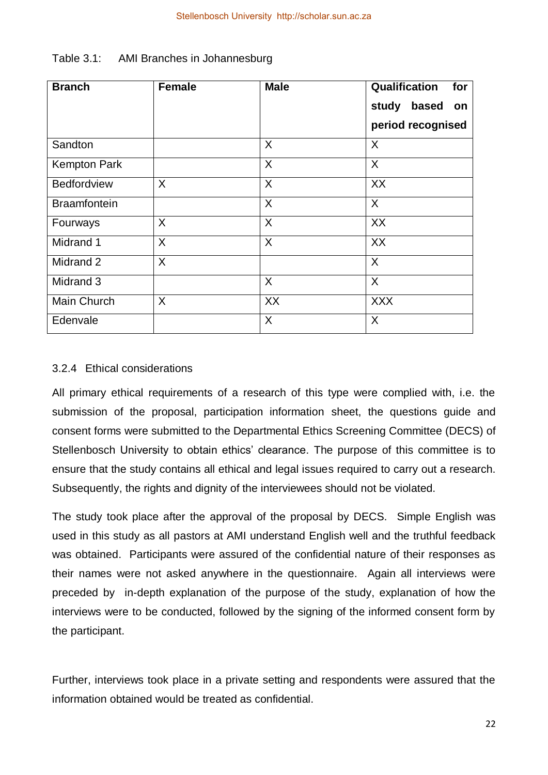| <b>Branch</b>       | <b>Female</b> | <b>Male</b> | Qualification<br>for |
|---------------------|---------------|-------------|----------------------|
|                     |               |             | based<br>study<br>on |
|                     |               |             | period recognised    |
| Sandton             |               | X           | X                    |
| <b>Kempton Park</b> |               | $\sf X$     | $\sf X$              |
| <b>Bedfordview</b>  | X             | X           | XX                   |
| <b>Braamfontein</b> |               | X           | X                    |
| Fourways            | X             | X           | XX                   |
| Midrand 1           | X             | X           | XX                   |
| Midrand 2           | X             |             | X                    |
| Midrand 3           |               | X           | X                    |
| Main Church         | X             | XX          | <b>XXX</b>           |
| Edenvale            |               | X           | X                    |

| Table 3.1: | AMI Branches in Johannesburg |
|------------|------------------------------|
|------------|------------------------------|

## 3.2.4 Ethical considerations

All primary ethical requirements of a research of this type were complied with, i.e. the submission of the proposal, participation information sheet, the questions guide and consent forms were submitted to the Departmental Ethics Screening Committee (DECS) of Stellenbosch University to obtain ethics' clearance. The purpose of this committee is to ensure that the study contains all ethical and legal issues required to carry out a research. Subsequently, the rights and dignity of the interviewees should not be violated.

The study took place after the approval of the proposal by DECS. Simple English was used in this study as all pastors at AMI understand English well and the truthful feedback was obtained. Participants were assured of the confidential nature of their responses as their names were not asked anywhere in the questionnaire. Again all interviews were preceded by in-depth explanation of the purpose of the study, explanation of how the interviews were to be conducted, followed by the signing of the informed consent form by the participant.

Further, interviews took place in a private setting and respondents were assured that the information obtained would be treated as confidential.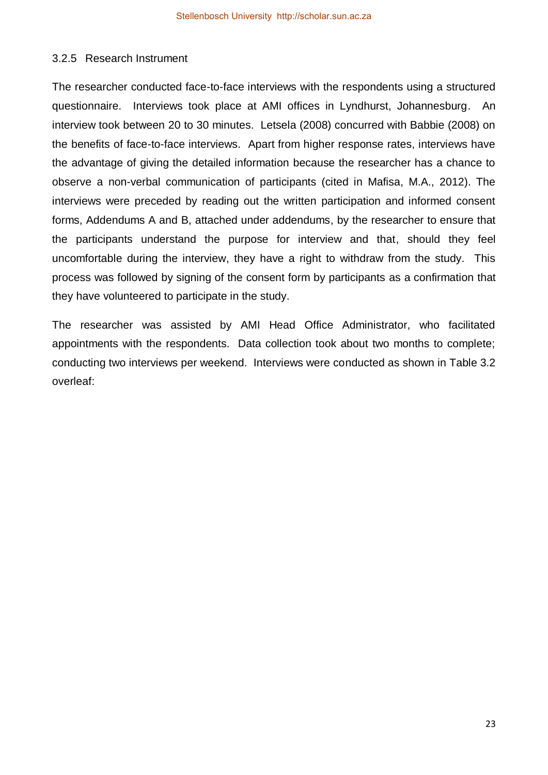#### 3.2.5 Research Instrument

The researcher conducted face-to-face interviews with the respondents using a structured questionnaire. Interviews took place at AMI offices in Lyndhurst, Johannesburg. An interview took between 20 to 30 minutes. Letsela (2008) concurred with Babbie (2008) on the benefits of face-to-face interviews. Apart from higher response rates, interviews have the advantage of giving the detailed information because the researcher has a chance to observe a non-verbal communication of participants (cited in Mafisa, M.A., 2012). The interviews were preceded by reading out the written participation and informed consent forms, Addendums A and B, attached under addendums, by the researcher to ensure that the participants understand the purpose for interview and that, should they feel uncomfortable during the interview, they have a right to withdraw from the study. This process was followed by signing of the consent form by participants as a confirmation that they have volunteered to participate in the study.

The researcher was assisted by AMI Head Office Administrator, who facilitated appointments with the respondents. Data collection took about two months to complete; conducting two interviews per weekend. Interviews were conducted as shown in Table 3.2 overleaf: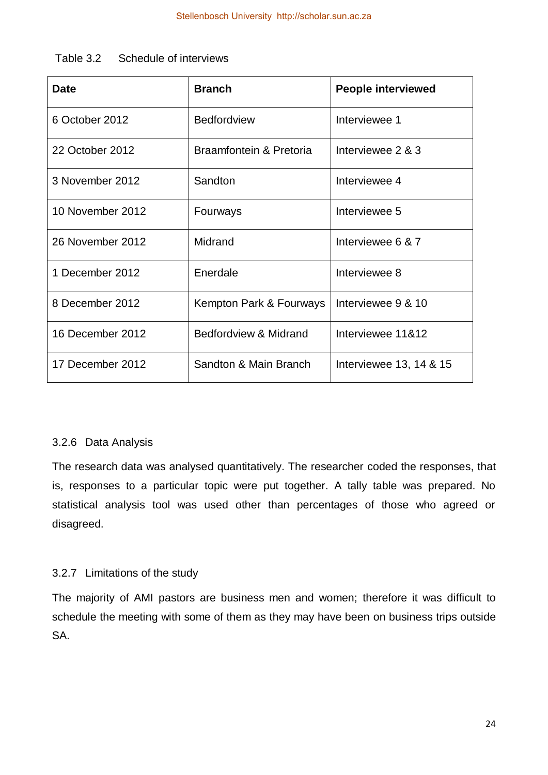| <b>Date</b>      | <b>Branch</b>           | <b>People interviewed</b> |
|------------------|-------------------------|---------------------------|
| 6 October 2012   | <b>Bedfordview</b>      | Interviewee 1             |
| 22 October 2012  | Braamfontein & Pretoria | Interviewee 2 & 3         |
| 3 November 2012  | Sandton                 | Interviewee 4             |
| 10 November 2012 | Fourways                | Interviewee 5             |
| 26 November 2012 | Midrand                 | Interviewee 6 & 7         |
| 1 December 2012  | Enerdale                | Interviewee 8             |
| 8 December 2012  | Kempton Park & Fourways | Interviewee 9 & 10        |
| 16 December 2012 | Bedfordview & Midrand   | Interviewee 11&12         |
| 17 December 2012 | Sandton & Main Branch   | Interviewee 13, 14 & 15   |

#### 3.2.6 Data Analysis

The research data was analysed quantitatively. The researcher coded the responses, that is, responses to a particular topic were put together. A tally table was prepared. No statistical analysis tool was used other than percentages of those who agreed or disagreed.

## 3.2.7 Limitations of the study

The majority of AMI pastors are business men and women; therefore it was difficult to schedule the meeting with some of them as they may have been on business trips outside SA.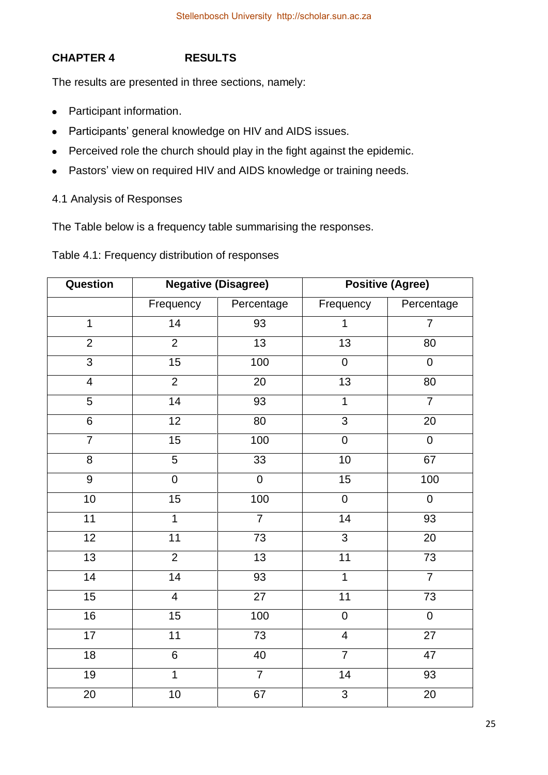# **CHAPTER 4 RESULTS**

The results are presented in three sections, namely:

- Participant information.
- Participants' general knowledge on HIV and AIDS issues.
- Perceived role the church should play in the fight against the epidemic.
- Pastors' view on required HIV and AIDS knowledge or training needs.

# 4.1 Analysis of Responses

The Table below is a frequency table summarising the responses.

Table 4.1: Frequency distribution of responses

| Question        |                 | <b>Negative (Disagree)</b> |                         | <b>Positive (Agree)</b> |
|-----------------|-----------------|----------------------------|-------------------------|-------------------------|
|                 | Frequency       | Percentage                 | Frequency               | Percentage              |
| $\mathbf{1}$    | 14              | 93                         | $\mathbf 1$             | $\overline{7}$          |
| $\overline{2}$  | $\overline{2}$  | $\overline{13}$            | $\overline{13}$         | $\overline{80}$         |
| $\overline{3}$  | 15              | 100                        | $\mathsf 0$             | $\overline{0}$          |
| $\overline{4}$  | $\overline{2}$  | 20                         | 13                      | 80                      |
| $\overline{5}$  | 14              | 93                         | $\overline{1}$          | $\overline{7}$          |
| $6\phantom{1}$  | 12              | 80                         | $\overline{3}$          | 20                      |
| $\overline{7}$  | 15              | 100                        | $\overline{0}$          | $\overline{0}$          |
| $\overline{8}$  | $\overline{5}$  | $\overline{33}$            | 10                      | 67                      |
| $\overline{9}$  | $\overline{0}$  | $\overline{0}$             | 15                      | 100                     |
| 10              | $\overline{15}$ | 100                        | $\mathbf 0$             | $\overline{0}$          |
| $\overline{11}$ | $\overline{1}$  | $\overline{7}$             | 14                      | 93                      |
| $\overline{12}$ | 11              | $\overline{73}$            | $\overline{3}$          | $\overline{20}$         |
| 13              | $\overline{2}$  | $\overline{13}$            | 11                      | 73                      |
| $\overline{14}$ | 14              | 93                         | $\overline{1}$          | $\overline{7}$          |
| $\overline{15}$ | $\overline{4}$  | $\overline{27}$            | $\overline{11}$         | $\overline{73}$         |
| 16              | 15              | 100                        | $\pmb{0}$               | $\pmb{0}$               |
| $\overline{17}$ | 11              | 73                         | $\overline{\mathbf{4}}$ | $\overline{27}$         |
| $\overline{18}$ | $\overline{6}$  | 40                         | $\overline{7}$          | 47                      |
| $\overline{19}$ | $\overline{1}$  | $\overline{7}$             | 14                      | 93                      |
| 20              | $10$            | 67                         | $\overline{3}$          | $\overline{20}$         |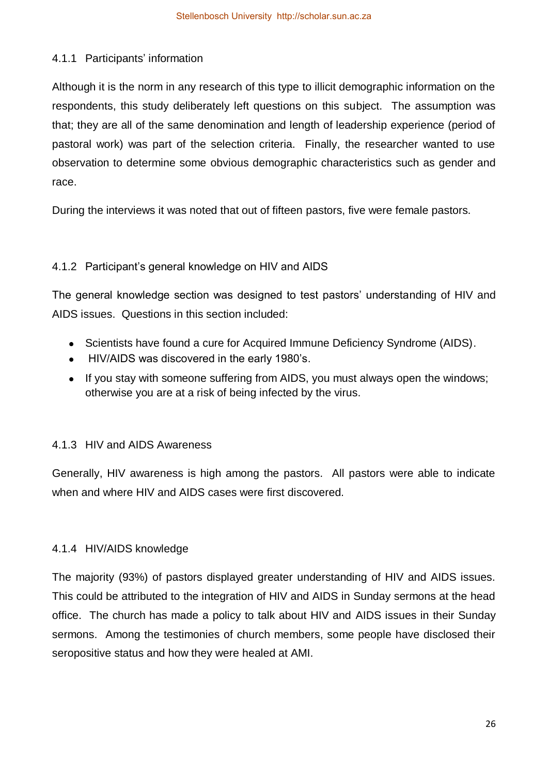# 4.1.1 Participants' information

Although it is the norm in any research of this type to illicit demographic information on the respondents, this study deliberately left questions on this subject. The assumption was that; they are all of the same denomination and length of leadership experience (period of pastoral work) was part of the selection criteria. Finally, the researcher wanted to use observation to determine some obvious demographic characteristics such as gender and race.

During the interviews it was noted that out of fifteen pastors, five were female pastors.

# 4.1.2 Participant's general knowledge on HIV and AIDS

The general knowledge section was designed to test pastors' understanding of HIV and AIDS issues. Questions in this section included:

- Scientists have found a cure for Acquired Immune Deficiency Syndrome (AIDS).
- HIV/AIDS was discovered in the early 1980's.
- If you stay with someone suffering from AIDS, you must always open the windows; otherwise you are at a risk of being infected by the virus.

## 4.1.3 HIV and AIDS Awareness

Generally, HIV awareness is high among the pastors. All pastors were able to indicate when and where HIV and AIDS cases were first discovered.

## 4.1.4 HIV/AIDS knowledge

The majority (93%) of pastors displayed greater understanding of HIV and AIDS issues. This could be attributed to the integration of HIV and AIDS in Sunday sermons at the head office. The church has made a policy to talk about HIV and AIDS issues in their Sunday sermons. Among the testimonies of church members, some people have disclosed their seropositive status and how they were healed at AMI.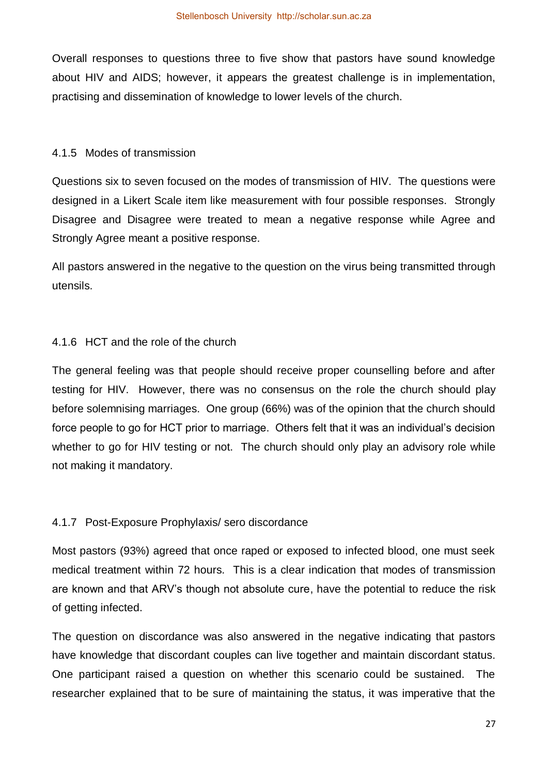Overall responses to questions three to five show that pastors have sound knowledge about HIV and AIDS; however, it appears the greatest challenge is in implementation, practising and dissemination of knowledge to lower levels of the church.

#### 4.1.5 Modes of transmission

Questions six to seven focused on the modes of transmission of HIV. The questions were designed in a Likert Scale item like measurement with four possible responses. Strongly Disagree and Disagree were treated to mean a negative response while Agree and Strongly Agree meant a positive response.

All pastors answered in the negative to the question on the virus being transmitted through utensils.

#### 4.1.6 HCT and the role of the church

The general feeling was that people should receive proper counselling before and after testing for HIV. However, there was no consensus on the role the church should play before solemnising marriages. One group (66%) was of the opinion that the church should force people to go for HCT prior to marriage. Others felt that it was an individual's decision whether to go for HIV testing or not. The church should only play an advisory role while not making it mandatory.

#### 4.1.7 Post-Exposure Prophylaxis/ sero discordance

Most pastors (93%) agreed that once raped or exposed to infected blood, one must seek medical treatment within 72 hours. This is a clear indication that modes of transmission are known and that ARV's though not absolute cure, have the potential to reduce the risk of getting infected.

The question on discordance was also answered in the negative indicating that pastors have knowledge that discordant couples can live together and maintain discordant status. One participant raised a question on whether this scenario could be sustained. The researcher explained that to be sure of maintaining the status, it was imperative that the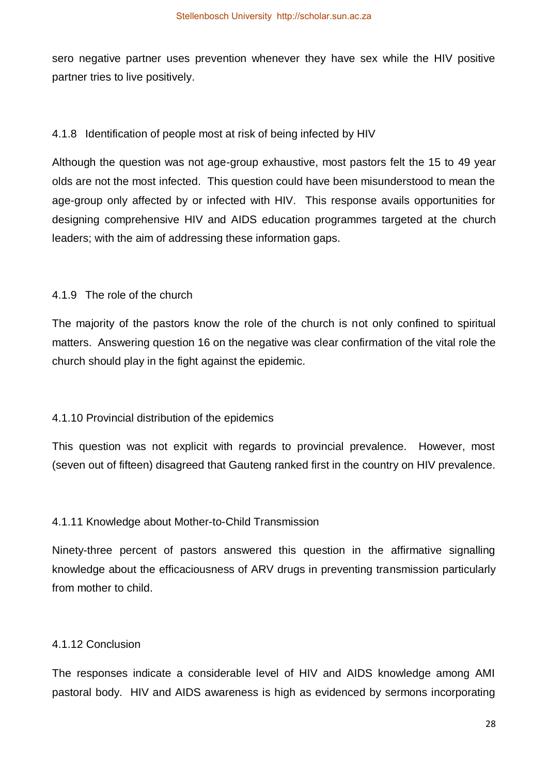sero negative partner uses prevention whenever they have sex while the HIV positive partner tries to live positively.

## 4.1.8 Identification of people most at risk of being infected by HIV

Although the question was not age-group exhaustive, most pastors felt the 15 to 49 year olds are not the most infected. This question could have been misunderstood to mean the age-group only affected by or infected with HIV. This response avails opportunities for designing comprehensive HIV and AIDS education programmes targeted at the church leaders; with the aim of addressing these information gaps.

# 4.1.9 The role of the church

The majority of the pastors know the role of the church is not only confined to spiritual matters. Answering question 16 on the negative was clear confirmation of the vital role the church should play in the fight against the epidemic.

# 4.1.10 Provincial distribution of the epidemics

This question was not explicit with regards to provincial prevalence. However, most (seven out of fifteen) disagreed that Gauteng ranked first in the country on HIV prevalence.

# 4.1.11 Knowledge about Mother-to-Child Transmission

Ninety-three percent of pastors answered this question in the affirmative signalling knowledge about the efficaciousness of ARV drugs in preventing transmission particularly from mother to child.

## 4.1.12 Conclusion

The responses indicate a considerable level of HIV and AIDS knowledge among AMI pastoral body. HIV and AIDS awareness is high as evidenced by sermons incorporating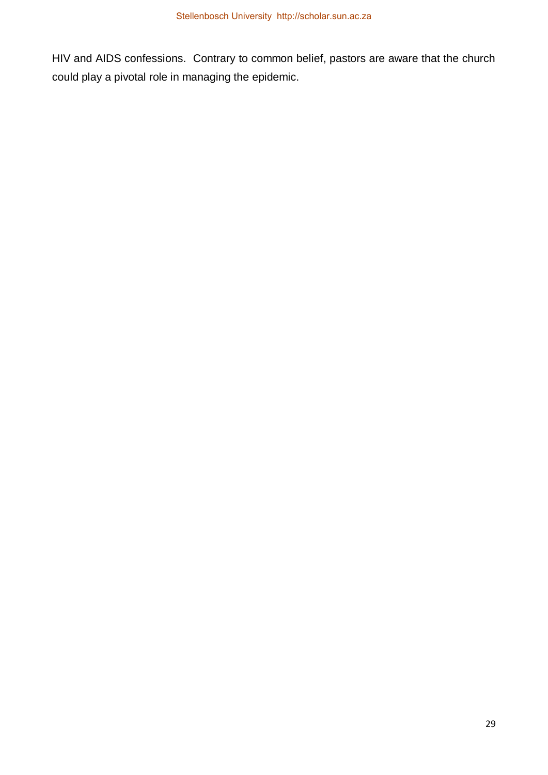HIV and AIDS confessions. Contrary to common belief, pastors are aware that the church could play a pivotal role in managing the epidemic.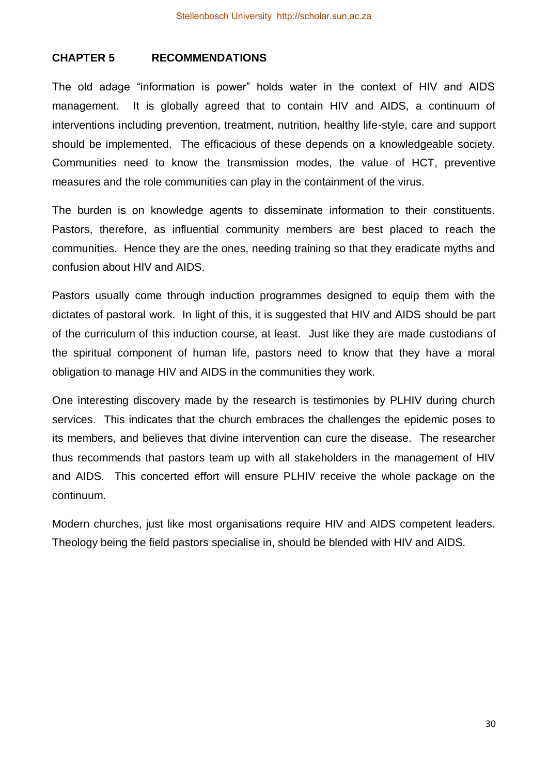# **CHAPTER 5 RECOMMENDATIONS**

The old adage "information is power" holds water in the context of HIV and AIDS management. It is globally agreed that to contain HIV and AIDS, a continuum of interventions including prevention, treatment, nutrition, healthy life-style, care and support should be implemented. The efficacious of these depends on a knowledgeable society. Communities need to know the transmission modes, the value of HCT, preventive measures and the role communities can play in the containment of the virus.

The burden is on knowledge agents to disseminate information to their constituents. Pastors, therefore, as influential community members are best placed to reach the communities. Hence they are the ones, needing training so that they eradicate myths and confusion about HIV and AIDS.

Pastors usually come through induction programmes designed to equip them with the dictates of pastoral work. In light of this, it is suggested that HIV and AIDS should be part of the curriculum of this induction course, at least. Just like they are made custodians of the spiritual component of human life, pastors need to know that they have a moral obligation to manage HIV and AIDS in the communities they work.

One interesting discovery made by the research is testimonies by PLHIV during church services. This indicates that the church embraces the challenges the epidemic poses to its members, and believes that divine intervention can cure the disease. The researcher thus recommends that pastors team up with all stakeholders in the management of HIV and AIDS. This concerted effort will ensure PLHIV receive the whole package on the continuum.

Modern churches, just like most organisations require HIV and AIDS competent leaders. Theology being the field pastors specialise in, should be blended with HIV and AIDS.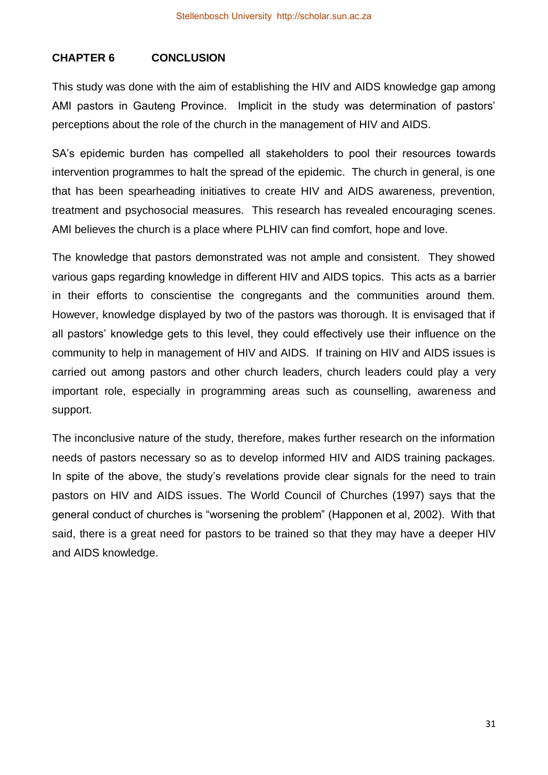# **CHAPTER 6 CONCLUSION**

This study was done with the aim of establishing the HIV and AIDS knowledge gap among AMI pastors in Gauteng Province. Implicit in the study was determination of pastors' perceptions about the role of the church in the management of HIV and AIDS.

SA's epidemic burden has compelled all stakeholders to pool their resources towards intervention programmes to halt the spread of the epidemic. The church in general, is one that has been spearheading initiatives to create HIV and AIDS awareness, prevention, treatment and psychosocial measures. This research has revealed encouraging scenes. AMI believes the church is a place where PLHIV can find comfort, hope and love.

The knowledge that pastors demonstrated was not ample and consistent. They showed various gaps regarding knowledge in different HIV and AIDS topics. This acts as a barrier in their efforts to conscientise the congregants and the communities around them. However, knowledge displayed by two of the pastors was thorough. It is envisaged that if all pastors' knowledge gets to this level, they could effectively use their influence on the community to help in management of HIV and AIDS. If training on HIV and AIDS issues is carried out among pastors and other church leaders, church leaders could play a very important role, especially in programming areas such as counselling, awareness and support.

The inconclusive nature of the study, therefore, makes further research on the information needs of pastors necessary so as to develop informed HIV and AIDS training packages. In spite of the above, the study's revelations provide clear signals for the need to train pastors on HIV and AIDS issues. The World Council of Churches (1997) says that the general conduct of churches is "worsening the problem" (Happonen et al, 2002). With that said, there is a great need for pastors to be trained so that they may have a deeper HIV and AIDS knowledge.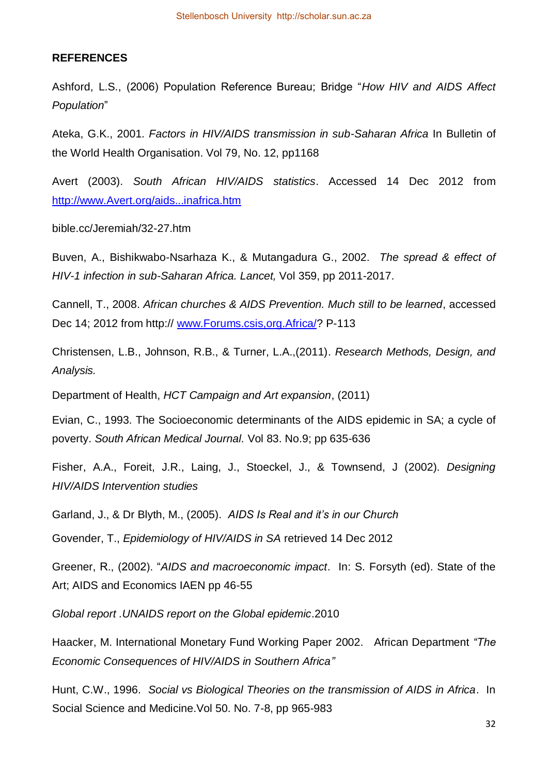#### **REFERENCES**

Ashford, L.S., (2006) Population Reference Bureau; Bridge "*How HIV and AIDS Affect Population*"

Ateka, G.K., 2001. *Factors in HIV/AIDS transmission in sub-Saharan Africa* In Bulletin of the World Health Organisation. Vol 79, No. 12, pp1168

Avert (2003). *South African HIV/AIDS statistics*. Accessed 14 Dec 2012 from [http://www.Avert.org/aids...inafrica.htm](http://www.avert.org/aids...inafrica.htm)

bible.cc/Jeremiah/32-27.htm

Buven, A., Bishikwabo-Nsarhaza K., & Mutangadura G., 2002. *The spread & effect of HIV-1 infection in sub-Saharan Africa. Lancet,* Vol 359, pp 2011-2017.

Cannell, T., 2008. *African churches & AIDS Prevention. Much still to be learned*, accessed Dec 14; 2012 from http:// [www.Forums.csis,org.Africa/?](http://www.forums.csis,org.africa/) P-113

Christensen, L.B., Johnson, R.B., & Turner, L.A.,(2011). *Research Methods, Design, and Analysis.*

Department of Health, *HCT Campaign and Art expansion*, (2011)

Evian, C., 1993. The Socioeconomic determinants of the AIDS epidemic in SA; a cycle of poverty. *South African Medical Journal.* Vol 83. No.9; pp 635-636

Fisher, A.A., Foreit, J.R., Laing, J., Stoeckel, J., & Townsend, J (2002). *Designing HIV/AIDS Intervention studies* 

Garland, J., & Dr Blyth, M., (2005). *AIDS Is Real and it's in our Church*

Govender, T., *Epidemiology of HIV/AIDS in SA* retrieved 14 Dec 2012

Greener, R., (2002). "*AIDS and macroeconomic impact*. In: S. Forsyth (ed). State of the Art; AIDS and Economics IAEN pp 46-55

*Global report .UNAIDS report on the Global epidemic*.2010

Haacker, M. International Monetary Fund Working Paper 2002. African Department *"The Economic Consequences of HIV/AIDS in Southern Africa"*

Hunt, C.W., 1996. *Social vs Biological Theories on the transmission of AIDS in Africa*. In Social Science and Medicine.Vol 50. No. 7-8, pp 965-983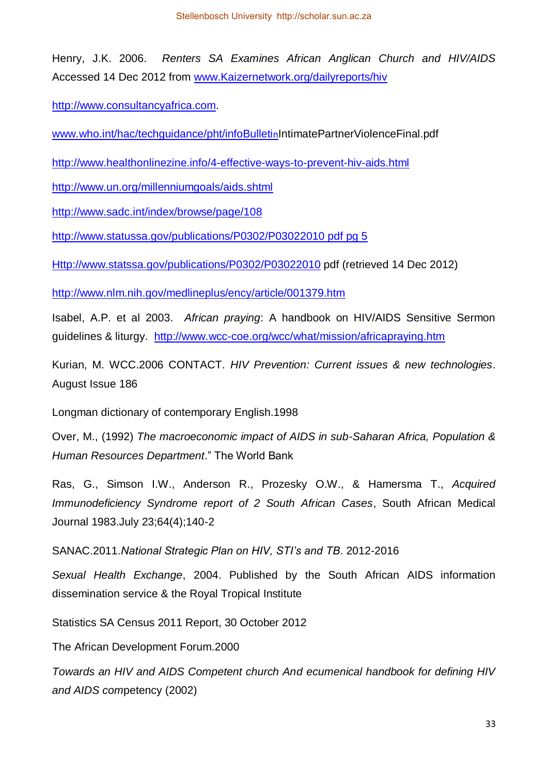Henry, J.K. 2006. *Renters SA Examines African Anglican Church and HIV/AIDS* Accessed 14 Dec 2012 from [www.Kaizernetwork.org/dailyreports/hiv](http://www.kaizernetwork.org/dailyreports/hiv)

[http://www.consultancyafrica.com.](http://www.consultancyafrica.com/)

[www.who.int/hac/techguidance/pht/infoBulleti](http://www.who.int/hac/techguidance/pht/infoBulletin)nIntimatePartnerViolenceFinal.pdf

<http://www.healthonlinezine.info/4-effective-ways-to-prevent-hiv-aids.html>

<http://www.un.org/millenniumgoals/aids.shtml>

<http://www.sadc.int/index/browse/page/108>

[http://www.statussa.gov/publications/P0302/P03022010 pdf pg 5](http://www.statussa.gov/publications/P0302/P03022010%20pdf%20pg%205)

[Http://www.statssa.gov/publications/P0302/P03022010](http://www.statssa.gov/publications/P0302/P03022010) pdf (retrieved 14 Dec 2012)

<http://www.nlm.nih.gov/medlineplus/ency/article/001379.htm>

Isabel, A.P. et al 2003. *African praying*: A handbook on HIV/AIDS Sensitive Sermon guidelines & liturgy. <http://www.wcc-coe.org/wcc/what/mission/africapraying.htm>

Kurian, M. WCC.2006 CONTACT. *HIV Prevention: Current issues & new technologies*. August Issue 186

Longman dictionary of contemporary English.1998

Over, M., (1992) *The macroeconomic impact of AIDS in sub-Saharan Africa, Population & Human Resources Department*." The World Bank

Ras, G., Simson I.W., Anderson R., Prozesky O.W., & Hamersma T., *Acquired Immunodeficiency Syndrome report of 2 South African Cases*, South African Medical Journal 1983.July 23;64(4);140-2

SANAC.2011.*National Strategic Plan on HIV, STI's and TB*. 2012-2016

*Sexual Health Exchange*, 2004. Published by the South African AIDS information dissemination service & the Royal Tropical Institute

Statistics SA Census 2011 Report, 30 October 2012

The African Development Forum.2000

*Towards an HIV and AIDS Competent church And ecumenical handbook for defining HIV and AIDS com*petency (2002)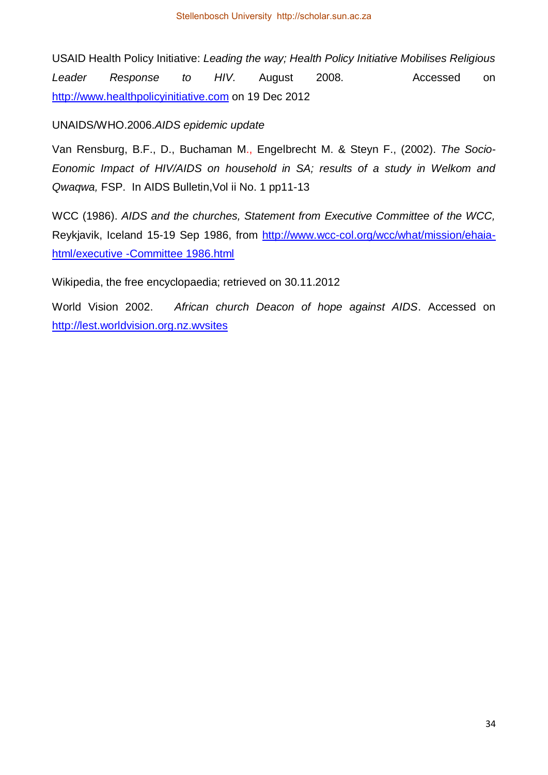USAID Health Policy Initiative: *Leading the way; Health Policy Initiative Mobilises Religious*  Leader Response to HIV. August 2008. Accessed on [http://www.healthpolicyinitiative.com](http://www.healthpolicyinitiative.com/) on 19 Dec 2012

UNAIDS/WHO.2006.*AIDS epidemic update* 

Van Rensburg, B.F., D., Buchaman M., Engelbrecht M. & Steyn F., (2002). *The Socio-Eonomic Impact of HIV/AIDS on household in SA; results of a study in Welkom and Qwaqwa,* FSP. In AIDS Bulletin,Vol ii No. 1 pp11-13

WCC (1986). *AIDS and the churches, Statement from Executive Committee of the WCC,*  Reykjavik, Iceland 15-19 Sep 1986, from [http://www.wcc-col.org/wcc/what/mission/ehaia](http://www.wcc-col.org/wcc/what/mission/ehaia-html/executive%20-Committee%201986.html)[html/executive -Committee 1986.html](http://www.wcc-col.org/wcc/what/mission/ehaia-html/executive%20-Committee%201986.html)

Wikipedia, the free encyclopaedia; retrieved on 30.11.2012

World Vision 2002. *African church Deacon of hope against AIDS*. Accessed on [http://lest.worldvision.org.nz.wvsites](http://lest.worldvision.org.nz.wvsites/)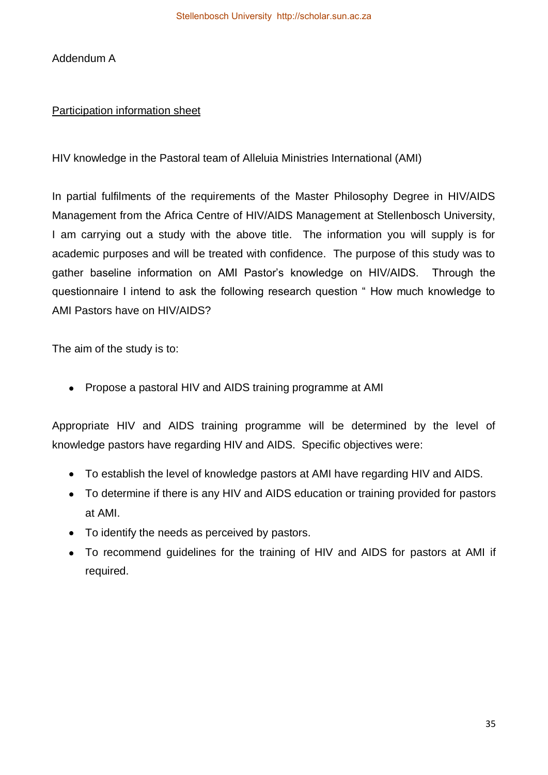Addendum A

# Participation information sheet

HIV knowledge in the Pastoral team of Alleluia Ministries International (AMI)

In partial fulfilments of the requirements of the Master Philosophy Degree in HIV/AIDS Management from the Africa Centre of HIV/AIDS Management at Stellenbosch University, I am carrying out a study with the above title. The information you will supply is for academic purposes and will be treated with confidence. The purpose of this study was to gather baseline information on AMI Pastor's knowledge on HIV/AIDS. Through the questionnaire I intend to ask the following research question " How much knowledge to AMI Pastors have on HIV/AIDS?

The aim of the study is to:

Propose a pastoral HIV and AIDS training programme at AMI

Appropriate HIV and AIDS training programme will be determined by the level of knowledge pastors have regarding HIV and AIDS. Specific objectives were:

- To establish the level of knowledge pastors at AMI have regarding HIV and AIDS.
- To determine if there is any HIV and AIDS education or training provided for pastors at AMI.
- To identify the needs as perceived by pastors.
- To recommend guidelines for the training of HIV and AIDS for pastors at AMI if required.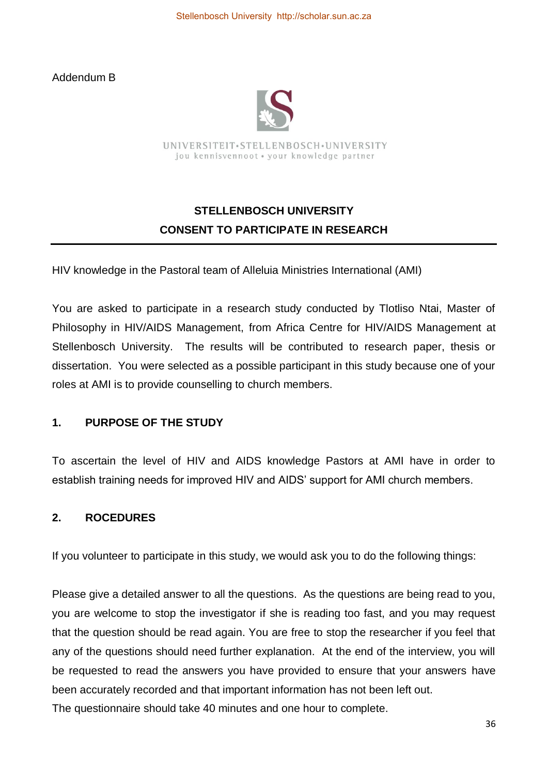Addendum B



UNIVERSITEIT.STELLENBOSCH.UNIVERSITY jou kennisvennoot · your knowledge partner

# **STELLENBOSCH UNIVERSITY CONSENT TO PARTICIPATE IN RESEARCH**

HIV knowledge in the Pastoral team of Alleluia Ministries International (AMI)

You are asked to participate in a research study conducted by Tlotliso Ntai, Master of Philosophy in HIV/AIDS Management, from Africa Centre for HIV/AIDS Management at Stellenbosch University. The results will be contributed to research paper, thesis or dissertation. You were selected as a possible participant in this study because one of your roles at AMI is to provide counselling to church members.

# **1. PURPOSE OF THE STUDY**

To ascertain the level of HIV and AIDS knowledge Pastors at AMI have in order to establish training needs for improved HIV and AIDS' support for AMI church members.

# **2. ROCEDURES**

If you volunteer to participate in this study, we would ask you to do the following things:

Please give a detailed answer to all the questions. As the questions are being read to you, you are welcome to stop the investigator if she is reading too fast, and you may request that the question should be read again. You are free to stop the researcher if you feel that any of the questions should need further explanation. At the end of the interview, you will be requested to read the answers you have provided to ensure that your answers have been accurately recorded and that important information has not been left out. The questionnaire should take 40 minutes and one hour to complete.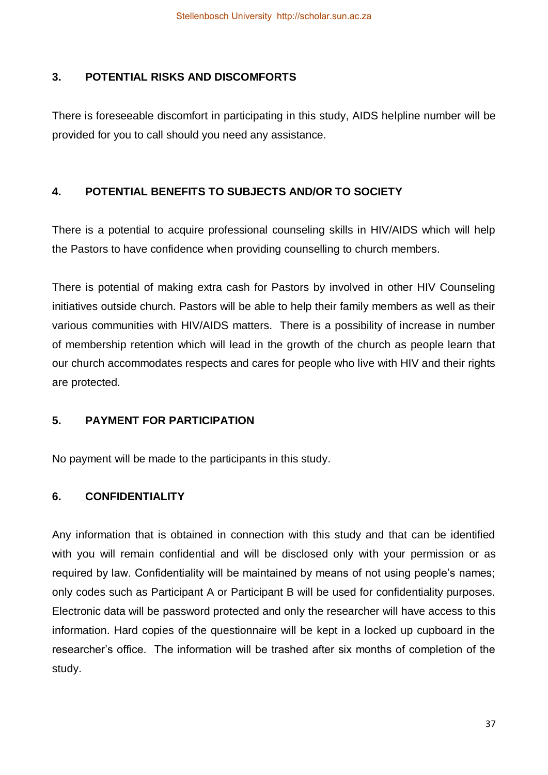# **3. POTENTIAL RISKS AND DISCOMFORTS**

There is foreseeable discomfort in participating in this study, AIDS helpline number will be provided for you to call should you need any assistance.

# **4. POTENTIAL BENEFITS TO SUBJECTS AND/OR TO SOCIETY**

There is a potential to acquire professional counseling skills in HIV/AIDS which will help the Pastors to have confidence when providing counselling to church members.

There is potential of making extra cash for Pastors by involved in other HIV Counseling initiatives outside church. Pastors will be able to help their family members as well as their various communities with HIV/AIDS matters. There is a possibility of increase in number of membership retention which will lead in the growth of the church as people learn that our church accommodates respects and cares for people who live with HIV and their rights are protected.

# **5. PAYMENT FOR PARTICIPATION**

No payment will be made to the participants in this study.

# **6. CONFIDENTIALITY**

Any information that is obtained in connection with this study and that can be identified with you will remain confidential and will be disclosed only with your permission or as required by law. Confidentiality will be maintained by means of not using people's names; only codes such as Participant A or Participant B will be used for confidentiality purposes. Electronic data will be password protected and only the researcher will have access to this information. Hard copies of the questionnaire will be kept in a locked up cupboard in the researcher's office. The information will be trashed after six months of completion of the study.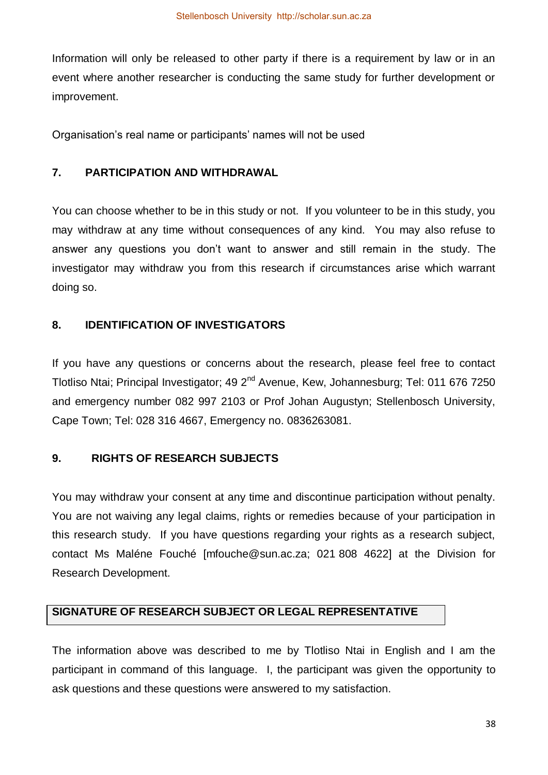Information will only be released to other party if there is a requirement by law or in an event where another researcher is conducting the same study for further development or improvement.

Organisation's real name or participants' names will not be used

## **7. PARTICIPATION AND WITHDRAWAL**

You can choose whether to be in this study or not. If you volunteer to be in this study, you may withdraw at any time without consequences of any kind. You may also refuse to answer any questions you don't want to answer and still remain in the study. The investigator may withdraw you from this research if circumstances arise which warrant doing so.

#### **8. IDENTIFICATION OF INVESTIGATORS**

If you have any questions or concerns about the research, please feel free to contact Tlotliso Ntai; Principal Investigator; 49 2<sup>nd</sup> Avenue, Kew, Johannesburg; Tel: 011 676 7250 and emergency number 082 997 2103 or Prof Johan Augustyn; Stellenbosch University, Cape Town; Tel: 028 316 4667, Emergency no. 0836263081.

# **9. RIGHTS OF RESEARCH SUBJECTS**

You may withdraw your consent at any time and discontinue participation without penalty. You are not waiving any legal claims, rights or remedies because of your participation in this research study. If you have questions regarding your rights as a research subject, contact Ms Maléne Fouché [mfouche@sun.ac.za; 021 808 4622] at the Division for Research Development.

# **SIGNATURE OF RESEARCH SUBJECT OR LEGAL REPRESENTATIVE**

The information above was described to me by Tlotliso Ntai in English and I am the participant in command of this language. I, the participant was given the opportunity to ask questions and these questions were answered to my satisfaction.